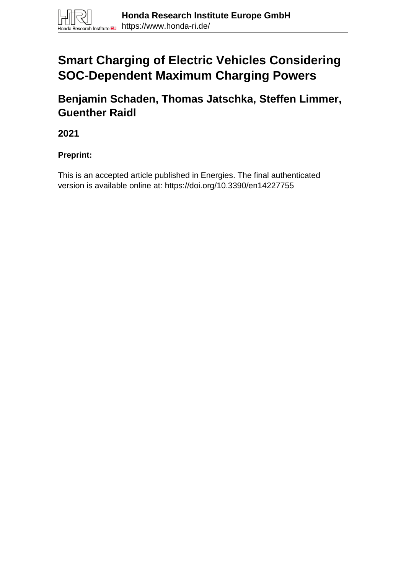# **Smart Charging of Electric Vehicles Considering SOC-Dependent Maximum Charging Powers**

**Benjamin Schaden, Thomas Jatschka, Steffen Limmer, Guenther Raidl**

**2021**

**Preprint:**

This is an accepted article published in Energies. The final authenticated version is available online at: https://doi.org/10.3390/en14227755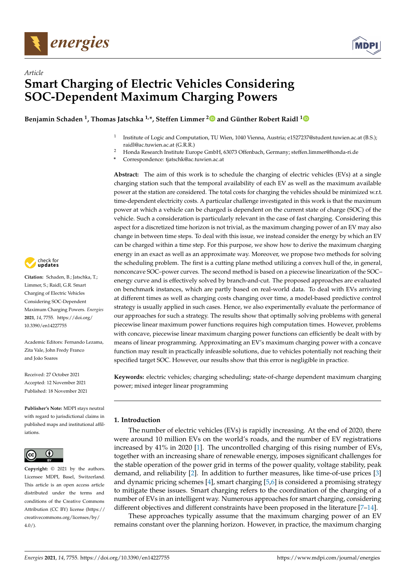



# *Article* **Smart Charging of Electric Vehicles Considering SOC-Dependent Maximum Charging Powers**

**Benjamin Schaden <sup>1</sup> , Thomas Jatschka 1,\*, Steffen Limmer [2](https://orcid.org/0000-0003-2385-7886) and Günther Robert Raidl [1](https://orcid.org/0000-0002-3293-177X)**

- 1 Institute of Logic and Computation, TU Wien, 1040 Vienna, Austria; e1527237@student.tuwien.ac.at (B.S.); raidl@ac.tuwien.ac.at (G.R.R.)
- <sup>2</sup> Honda Research Institute Europe GmbH, 63073 Offenbach, Germany; steffen.limmer@honda-ri.de
- **\*** Correspondence: tjatschk@ac.tuwien.ac.at

**Abstract:** The aim of this work is to schedule the charging of electric vehicles (EVs) at a single charging station such that the temporal availability of each EV as well as the maximum available power at the station are considered. The total costs for charging the vehicles should be minimized w.r.t. time-dependent electricity costs. A particular challenge investigated in this work is that the maximum power at which a vehicle can be charged is dependent on the current state of charge (SOC) of the vehicle. Such a consideration is particularly relevant in the case of fast charging. Considering this aspect for a discretized time horizon is not trivial, as the maximum charging power of an EV may also change in between time steps. To deal with this issue, we instead consider the energy by which an EV can be charged within a time step. For this purpose, we show how to derive the maximum charging energy in an exact as well as an approximate way. Moreover, we propose two methods for solving the scheduling problem. The first is a cutting plane method utilizing a convex hull of the, in general, nonconcave SOC–power curves. The second method is based on a piecewise linearization of the SOC– energy curve and is effectively solved by branch-and-cut. The proposed approaches are evaluated on benchmark instances, which are partly based on real-world data. To deal with EVs arriving at different times as well as charging costs changing over time, a model-based predictive control strategy is usually applied in such cases. Hence, we also experimentally evaluate the performance of our approaches for such a strategy. The results show that optimally solving problems with general piecewise linear maximum power functions requires high computation times. However, problems with concave, piecewise linear maximum charging power functions can efficiently be dealt with by means of linear programming. Approximating an EV's maximum charging power with a concave function may result in practically infeasible solutions, due to vehicles potentially not reaching their specified target SOC. However, our results show that this error is negligible in practice.

**Keywords:** electric vehicles; charging scheduling; state-of-charge dependent maximum charging power; mixed integer linear programming

# **1. Introduction**

The number of electric vehicles (EVs) is rapidly increasing. At the end of 2020, there were around 10 million EVs on the world's roads, and the number of EV registrations increased by 41% in 2020 [1]. The uncontrolled charging of this rising number of EVs, together with an increasing share of renewable energy, imposes significant challenges for the stable operation of the power grid in terms of the power quality, voltage stability, peak demand, and reliability [2]. In addition to further measures, like time-of-use prices [3] and dynamic pricing schemes [4], smart charging [5,6] is considered a promising strategy to mitigate these issues. Smart charging refers to the coordination of the charging of a number of EVs in an intelligent way. Numerous approaches for smart charging, considering different objectives and different constraints have been proposed in the literature [7–14].

These approaches typically assume that the maximum charging power of an EV remains constant over the planning horizon. However, in practice, the maximum charging



**Citation:** Schaden, B.; Jatschka, T.; Limmer, S.; Raidl, G.R. Smart Charging of Electric Vehicles Considering SOC-Dependent Maximum Charging Powers. *Energies* **2021**, *14*, 7755. [https://doi.org/](https://doi.org/10.3390/en14227755) [10.3390/en14227755](https://doi.org/10.3390/en14227755)

Academic Editors: Fernando Lezama, Zita Vale, John Fredy Franco and João Soares

Received: 27 October 2021 Accepted: 12 November 2021 Published: 18 November 2021

**Publisher's Note:** MDPI stays neutral with regard to jurisdictional claims in published maps and institutional affiliations.



**Copyright:** © 2021 by the authors. Licensee MDPI, Basel, Switzerland. This article is an open access article distributed under the terms and conditions of the Creative Commons Attribution (CC BY) license (https:/[/](https://creativecommons.org/licenses/by/4.0/) [creativecommons.org/licenses/by/](https://creativecommons.org/licenses/by/4.0/)  $4.0/$ ).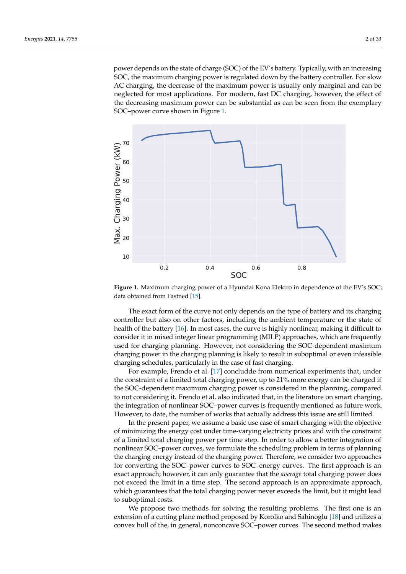power depends on the state of charge (SOC) of the EV's battery. Typically, with an increasing SOC, the maximum charging power is regulated down by the battery controller. For slow AC charging, the decrease of the maximum power is usually only marginal and can be neglected for most applications. For modern, fast DC charging, however, the effect of the decreasing maximum power can be substantial as can be seen from the exemplary SOC–power curve shown in Figure 1.



**Figure 1.** Maximum charging power of a Hyundai Kona Elektro in dependence of the EV's SOC; data obtained from Fastned [15].

The exact form of the curve not only depends on the type of battery and its charging controller but also on other factors, including the ambient temperature or the state of health of the battery [16]. In most cases, the curve is highly nonlinear, making it difficult to consider it in mixed integer linear programming (MILP) approaches, which are frequently used for charging planning. However, not considering the SOC-dependent maximum charging power in the charging planning is likely to result in suboptimal or even infeasible charging schedules, particularly in the case of fast charging.

For example, Frendo et al. [17] concludde from numerical experiments that, under the constraint of a limited total charging power, up to 21% more energy can be charged if the SOC-dependent maximum charging power is considered in the planning, compared to not considering it. Frendo et al. also indicated that, in the literature on smart charging, the integration of nonlinear SOC–power curves is frequently mentioned as future work. However, to date, the number of works that actually address this issue are still limited.

In the present paper, we assume a basic use case of smart charging with the objective of minimizing the energy cost under time-varying electricity prices and with the constraint of a limited total charging power per time step. In order to allow a better integration of nonlinear SOC–power curves, we formulate the scheduling problem in terms of planning the charging energy instead of the charging power. Therefore, we consider two approaches for converting the SOC–power curves to SOC–energy curves. The first approach is an exact approach; however, it can only guarantee that the *average* total charging power does not exceed the limit in a time step. The second approach is an approximate approach, which guarantees that the total charging power never exceeds the limit, but it might lead to suboptimal costs.

We propose two methods for solving the resulting problems. The first one is an extension of a cutting plane method proposed by Korolko and Sahinoglu [18] and utilizes a convex hull of the, in general, nonconcave SOC–power curves. The second method makes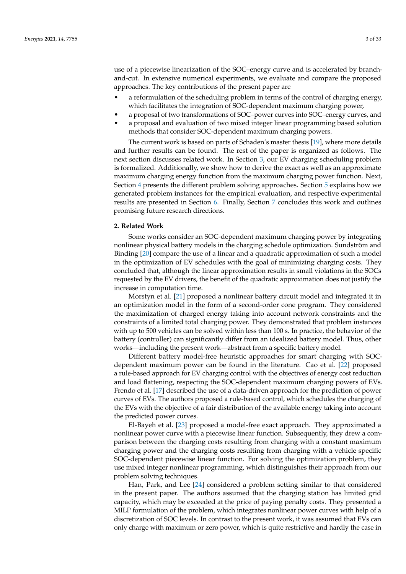use of a piecewise linearization of the SOC–energy curve and is accelerated by branchand-cut. In extensive numerical experiments, we evaluate and compare the proposed approaches. The key contributions of the present paper are

- a reformulation of the scheduling problem in terms of the control of charging energy, which facilitates the integration of SOC-dependent maximum charging power,
- a proposal of two transformations of SOC–power curves into SOC–energy curves, and
- a proposal and evaluation of two mixed integer linear programming based solution methods that consider SOC-dependent maximum charging powers.

The current work is based on parts of Schaden's master thesis [19], where more details and further results can be found. The rest of the paper is organized as follows. The next section discusses related work. In Section 3, our EV charging scheduling problem is formalized. Additionally, we show how to derive the exact as well as an approximate maximum charging energy function from the maximum charging power function. Next, Section 4 presents the different problem solving approaches. Section 5 explains how we generated problem instances for the empirical evaluation, and respective experimental results are presented in Section 6. Finally, Section 7 concludes this work and outlines promising future research directions.

### **2. Related Work**

Some works consider an SOC-dependent maximum charging power by integrating nonlinear physical battery models in the charging schedule optimization. Sundström and Binding [20] compare the use of a linear and a quadratic approximation of such a model in the optimization of EV schedules with the goal of minimizing charging costs. They concluded that, although the linear approximation results in small violations in the SOCs requested by the EV drivers, the benefit of the quadratic approximation does not justify the increase in computation time.

Morstyn et al. [21] proposed a nonlinear battery circuit model and integrated it in an optimization model in the form of a second-order cone program. They considered the maximization of charged energy taking into account network constraints and the constraints of a limited total charging power. They demonstrated that problem instances with up to 500 vehicles can be solved within less than 100 s. In practice, the behavior of the battery (controller) can significantly differ from an idealized battery model. Thus, other works—including the present work—abstract from a specific battery model.

Different battery model-free heuristic approaches for smart charging with SOCdependent maximum power can be found in the literature. Cao et al. [22] proposed a rule-based approach for EV charging control with the objectives of energy cost reduction and load flattening, respecting the SOC-dependent maximum charging powers of EVs. Frendo et al. [17] described the use of a data-driven approach for the prediction of power curves of EVs. The authors proposed a rule-based control, which schedules the charging of the EVs with the objective of a fair distribution of the available energy taking into account the predicted power curves.

El-Bayeh et al. [23] proposed a model-free exact approach. They approximated a nonlinear power curve with a piecewise linear function. Subsequently, they drew a comparison between the charging costs resulting from charging with a constant maximum charging power and the charging costs resulting from charging with a vehicle specific SOC-dependent piecewise linear function. For solving the optimization problem, they use mixed integer nonlinear programming, which distinguishes their approach from our problem solving techniques.

Han, Park, and Lee [24] considered a problem setting similar to that considered in the present paper. The authors assumed that the charging station has limited grid capacity, which may be exceeded at the price of paying penalty costs. They presented a MILP formulation of the problem, which integrates nonlinear power curves with help of a discretization of SOC levels. In contrast to the present work, it was assumed that EVs can only charge with maximum or zero power, which is quite restrictive and hardly the case in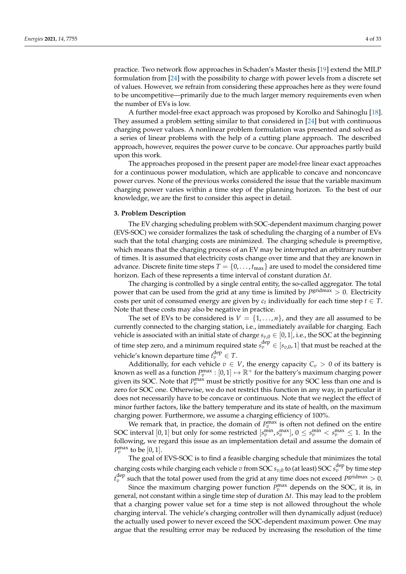practice. Two network flow approaches in Schaden's Master thesis [19] extend the MILP formulation from [24] with the possibility to charge with power levels from a discrete set of values. However, we refrain from considering these approaches here as they were found to be uncompetitive—primarily due to the much larger memory requirements even when the number of EVs is low.

A further model-free exact approach was proposed by Korolko and Sahinoglu [18]. They assumed a problem setting similar to that considered in [24] but with continuous charging power values. A nonlinear problem formulation was presented and solved as a series of linear problems with the help of a cutting plane approach. The described approach, however, requires the power curve to be concave. Our approaches partly build upon this work.

The approaches proposed in the present paper are model-free linear exact approaches for a continuous power modulation, which are applicable to concave and nonconcave power curves. None of the previous works considered the issue that the variable maximum charging power varies within a time step of the planning horizon. To the best of our knowledge, we are the first to consider this aspect in detail.

#### **3. Problem Description**

The EV charging scheduling problem with SOC-dependent maximum charging power (EVS-SOC) we consider formalizes the task of scheduling the charging of a number of EVs such that the total charging costs are minimized. The charging schedule is preemptive, which means that the charging process of an EV may be interrupted an arbitrary number of times. It is assumed that electricity costs change over time and that they are known in advance. Discrete finite time steps  $T = \{0, \ldots, t_{\text{max}}\}$  are used to model the considered time horizon. Each of these represents a time interval of constant duration ∆*t*.

The charging is controlled by a single central entity, the so-called aggregator. The total power that can be used from the grid at any time is limited by  $P<sup>gridmax</sup> > 0$ . Electricity costs per unit of consumed energy are given by  $c_t$  individually for each time step  $t \in T$ . Note that these costs may also be negative in practice.

The set of EVs to be considered is  $V = \{1, \ldots, n\}$ , and they are all assumed to be currently connected to the charging station, i.e., immediately available for charging. Each vehicle is associated with an initial state of charge  $s_{v,0} \in [0,1]$ , i.e., the SOC at the beginning of time step zero, and a minimum required state  $s_v^{\text{dep}} \in [s_{v,0}, 1]$  that must be reached at the vehicle's known departure time  $t_v^{\text{dep}} \in T$ .

Additionally, for each vehicle  $v \in V$ , the energy capacity  $C_v > 0$  of its battery is known as well as a function  $P_v^{\max} : [0,1] \mapsto \mathbb{R}^+$  for the battery's maximum charging power given its SOC. Note that  $P_v^{\text{max}}$  must be strictly positive for any SOC less than one and is zero for SOC one. Otherwise, we do not restrict this function in any way, in particular it does not necessarily have to be concave or continuous. Note that we neglect the effect of minor further factors, like the battery temperature and its state of health, on the maximum charging power. Furthermore, we assume a charging efficiency of 100%.

We remark that, in practice, the domain of  $P_v^{\max}$  is often not defined on the entire SOC interval  $[0,1]$  but only for some restricted  $[s_v^{\min}, s_v^{\max}]$ ,  $0 \leq s_v^{\min} < s_v^{\max} \leq 1$ . In the following, we regard this issue as an implementation detail and assume the domain of  $P_v^{\text{max}}$  to be [0, 1].

The goal of EVS-SOC is to find a feasible charging schedule that minimizes the total charging costs while charging each vehicle  $v$  from SOC  $s_{v,0}$  to (at least) SOC  $s_v^{\text{dep}}$  by time step  $t_v^{\text{dep}}$  such that the total power used from the grid at any time does not exceed  $P^{\text{gridmax}} > 0$ .

Since the maximum charging power function  $P_v^{\text{max}}$  depends on the SOC, it is, in general, not constant within a single time step of duration ∆*t*. This may lead to the problem that a charging power value set for a time step is not allowed throughout the whole charging interval. The vehicle's charging controller will then dynamically adjust (reduce) the actually used power to never exceed the SOC-dependent maximum power. One may argue that the resulting error may be reduced by increasing the resolution of the time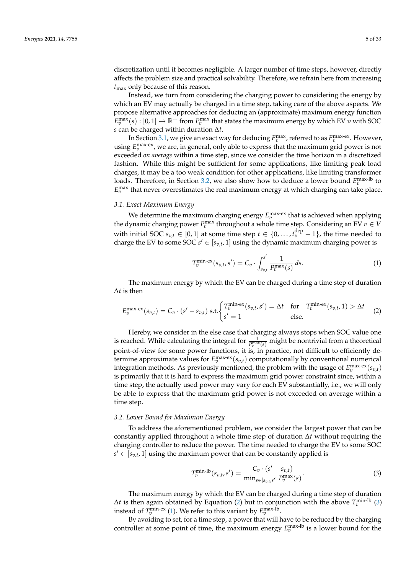discretization until it becomes negligible. A larger number of time steps, however, directly affects the problem size and practical solvability. Therefore, we refrain here from increasing *t*max only because of this reason.

Instead, we turn from considering the charging power to considering the energy by which an EV may actually be charged in a time step, taking care of the above aspects. We propose alternative approaches for deducing an (approximate) maximum energy function  $E_v^{\max}(s) : [0,1] \mapsto \mathbb{R}^+$  from  $P_v^{\max}$  that states the maximum energy by which EV *v* with SOC *s* can be charged within duration ∆*t*.

In Section 3.1, we give an exact way for deducing  $E_v^{\text{max}}$ , referred to as  $E_v^{\text{max-ex}}$ . However, using  $E_v^{\text{max-ex}}$ , we are, in general, only able to express that the maximum grid power is not exceeded *on average* within a time step, since we consider the time horizon in a discretized fashion. While this might be sufficient for some applications, like limiting peak load charges, it may be a too weak condition for other applications, like limiting transformer loads. Therefore, in Section 3.2, we also show how to deduce a lower bound  $E_v^{\rm max-lb}$  to  $E_v^{\text{max}}$  that never overestimates the real maximum energy at which charging can take place.

# *3.1. Exact Maximum Energy*

We determine the maximum charging energy  $E_v^{\text{max-ex}}$  that is achieved when applying the dynamic charging power  $P_v^{\text{max}}$  throughout a whole time step. Considering an EV  $v \in V$ with initial SOC  $s_{v,t} \in [0,1]$  at some time step  $t \in \{0,\ldots,t_v^{\text{dep}}-1\}$ , the time needed to charge the EV to some SOC  $s' \in [s_{v,t}, 1]$  using the dynamic maximum charging power is

$$
T_v^{\min-ex}(s_{v,t}, s') = C_v \cdot \int_{s_{v,t}}^{s'} \frac{1}{P_v^{\max}(s)} ds.
$$
 (1)

The maximum energy by which the EV can be charged during a time step of duration ∆*t* is then

$$
E_v^{\max-ex}(s_{v,t}) = C_v \cdot (s'-s_{v,t}) \text{ s.t.} \begin{cases} T_v^{\min-ex}(s_{v,t},s') = \Delta t & \text{for } T_v^{\min-ex}(s_{v,t},1) > \Delta t \\ s' = 1 & \text{else.} \end{cases} \tag{2}
$$

Hereby, we consider in the else case that charging always stops when SOC value one is reached. While calculating the integral for  $\frac{1}{P_v^{\max}(s)}$  might be nontrivial from a theoretical point-of-view for some power functions, it is, in practice, not difficult to efficiently determine approximate values for  $E_v^{\text{max-ex}}(s_{v,t})$  computationally by conventional numerical integration methods. As previously mentioned, the problem with the usage of  $E_v^{\text{max-ex}}(s_{v,t})$ is primarily that it is hard to express the maximum grid power constraint since, within a time step, the actually used power may vary for each EV substantially, i.e., we will only be able to express that the maximum grid power is not exceeded on average within a time step.

#### *3.2. Lower Bound for Maximum Energy*

To address the aforementioned problem, we consider the largest power that can be constantly applied throughout a whole time step of duration ∆*t* without requiring the charging controller to reduce the power. The time needed to charge the EV to some SOC  $s' \in [s_{v,t}, 1]$  using the maximum power that can be constantly applied is

$$
T_v^{\min\text{-}lb}(s_{v,t}, s') = \frac{C_v \cdot (s' - s_{v,t})}{\min_{s \in [s_{v,t}, s']} P_v^{\max}(s)}.
$$
\n(3)

The maximum energy by which the EV can be charged during a time step of duration  $Δ*t*$  is then again obtained by Equation (2) but in conjunction with the above  $T_v^{\text{min-lb}}$  (3) instead of  $T_v^{\text{min-ex}}$  (1). We refer to this variant by  $E_v^{\text{max-lb}}$ .

By avoiding to set, for a time step, a power that will have to be reduced by the charging controller at some point of time, the maximum energy  $E_v^{\text{max-lb}}$  is a lower bound for the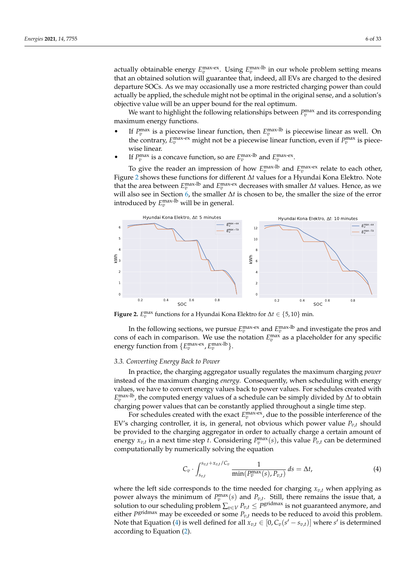actually obtainable energy  $E_v^{\text{max-ex}}$ . Using  $E_v^{\text{max-lb}}$  in our whole problem setting means that an obtained solution will guarantee that, indeed, all EVs are charged to the desired departure SOCs. As we may occasionally use a more restricted charging power than could actually be applied, the schedule might not be optimal in the original sense, and a solution's objective value will be an upper bound for the real optimum.

We want to highlight the following relationships between  $P_v^{\text{max}}$  and its corresponding maximum energy functions.

- If  $P_v^{\text{max}}$  is a piecewise linear function, then  $E_v^{\text{max-lb}}$  is piecewise linear as well. On the contrary,  $E_v^{\text{max-ex}}$  might not be a piecewise linear function, even if  $P_v^{\text{max}}$  is piecewise linear.
- If  $P_v^{\text{max}}$  is a concave function, so are  $E_v^{\text{max-lb}}$  and  $E_v^{\text{max-ex}}$ .

To give the reader an impression of how  $E_v^{\text{max-lb}}$  and  $E_v^{\text{max-ex}}$  relate to each other, Figure 2 shows these functions for different ∆*t* values for a Hyundai Kona Elektro. Note that the area between  $E_v^{\text{max-lb}}$  and  $E_v^{\text{max-ex}}$  decreases with smaller  $\Delta t$  values. Hence, as we will also see in Section 6, the smaller ∆*t* is chosen to be, the smaller the size of the error introduced by  $E_v^{\text{max-lb}}$  will be in general.



**Figure 2.**  $E_v^{\text{max}}$  functions for a Hyundai Kona Elektro for  $\Delta t \in \{5, 10\}$  min.

In the following sections, we pursue  $E_v^{\text{max-ex}}$  and  $E_v^{\text{max-lb}}$  and investigate the pros and cons of each in comparison. We use the notation  $E_v^{\text{max}}$  as a placeholder for any specific energy function from  $\{E_v^{\text{max-ex}}, E_v^{\text{max-lb}}\}$ .

#### *3.3. Converting Energy Back to Power*

In practice, the charging aggregator usually regulates the maximum charging *power* instead of the maximum charging *energy*. Consequently, when scheduling with energy values, we have to convert energy values back to power values. For schedules created with *E* max-lb *v* , the computed energy values of a schedule can be simply divided by ∆*t* to obtain charging power values that can be constantly applied throughout a single time step.

For schedules created with the exact  $E_v^{\text{max-ex}}$ , due to the possible interference of the EV's charging controller, it is, in general, not obvious which power value  $P_{v,t}$  should be provided to the charging aggregator in order to actually charge a certain amount of energy  $x_{v,t}$  in a next time step *t*. Considering  $P_v^{\max}(s)$ , this value  $P_{v,t}$  can be determined computationally by numerically solving the equation

$$
C_v \cdot \int_{s_{v,t}}^{s_{v,t} + x_{v,t}/C_v} \frac{1}{\min(P_v^{\max}(s), P_{v,t})} ds = \Delta t,
$$
\n(4)

where the left side corresponds to the time needed for charging  $x_{v,t}$  when applying as power always the minimum of  $P_v^{\max}(s)$  and  $P_{v,t}$ . Still, there remains the issue that, a solution to our scheduling problem  $\sum_{v \in V} P_{v,t} \leq P^{\text{gridmax}}$  is not guaranteed anymore, and either *P* gridmax may be exceeded or some *Pv*,*<sup>t</sup>* needs to be reduced to avoid this problem. Note that Equation (4) is well defined for all  $x_{v,t} \in [0, C_v(s' - s_{v,t})]$  where  $s'$  is determined according to Equation (2).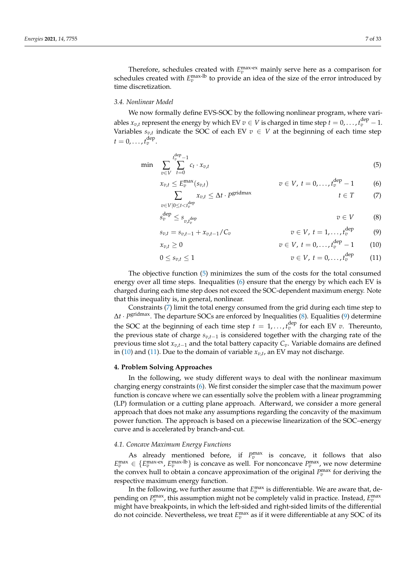dep

Therefore, schedules created with  $E_v^{\text{max-ex}}$  mainly serve here as a comparison for schedules created with  $E_v^{\text{max-lb}}$  to provide an idea of the size of the error introduced by time discretization.

#### *3.4. Nonlinear Model*

We now formally define EVS-SOC by the following nonlinear program, where variables  $x_{v,t}$  represent the energy by which EV  $v \in V$  is charged in time step  $t = 0, \ldots, t_v^{\text{dep}} - 1.$ Variables  $s_{v,t}$  indicate the SOC of each EV  $v \in V$  at the beginning of each time step  $t = 0, \ldots, t_v^{\text{dep}}$ .

$$
\min \sum_{v \in V} \sum_{t=0}^{t_v^{\text{dep}} - 1} c_t \cdot x_{v,t} \tag{5}
$$

$$
x_{v,t} \le E_v^{\max}(s_{v,t})
$$
  
\n
$$
\sum x_{v,t} \le \Delta t \cdot P^{\text{gridmax}}
$$
  
\n
$$
v \in V, t = 0,..., t_v^{\text{dep}} - 1
$$
  
\n
$$
t \in T
$$
 (7)

$$
s_v^{\text{dep}} \le s_{v, t_v^{\text{dep}}} \qquad \qquad v \in V \qquad (8)
$$

$$
s_{v,t} = s_{v,t-1} + x_{v,t-1}/C_v \t\t v \in V, t = 1,...,t_v^{\text{dep}} \t\t (9)
$$

$$
x_{v,t} \ge 0 \t\t v \in V, t = 0,...,t_v^{\text{dep}} - 1 \t\t (10)
$$

$$
0 \leq s_{v,t} \leq 1 \qquad \qquad v \in V, \ t = 0, \ldots, t_v^{\text{dep}} \tag{11}
$$

The objective function (5) minimizes the sum of the costs for the total consumed energy over all time steps. Inequalities (6) ensure that the energy by which each EV is charged during each time step does not exceed the SOC-dependent maximum energy. Note that this inequality is, in general, nonlinear.

Constraints (7) limit the total energy consumed from the grid during each time step to ∆*t* · *P* gridmax. The departure SOCs are enforced by Inequalities (8). Equalities (9) determine the SOC at the beginning of each time step  $t = 1, \ldots, t_v^{\text{dep}}$  for each EV  $v$ . Thereunto, the previous state of charge *sv*,*t*−<sup>1</sup> is considered together with the charging rate of the previous time slot *xv*,*t*−<sup>1</sup> and the total battery capacity *Cv*. Variable domains are defined in (10) and (11). Due to the domain of variable  $x_{v,t}$ , an EV may not discharge.

#### **4. Problem Solving Approaches**

 $v \in V | 0 \le t < t_v^{\text{dep}}$ 

In the following, we study different ways to deal with the nonlinear maximum charging energy constraints (6). We first consider the simpler case that the maximum power function is concave where we can essentially solve the problem with a linear programming (LP) formulation or a cutting plane approach. Afterward, we consider a more general approach that does not make any assumptions regarding the concavity of the maximum power function. The approach is based on a piecewise linearization of the SOC–energy curve and is accelerated by branch-and-cut.

# *4.1. Concave Maximum Energy Functions*

As already mentioned before, if  $P_v^{\text{max}}$  is concave, it follows that also  $E_v^{\max} \in \{E_v^{\max-ex}, E_v^{\max-lb}\}$  is concave as well. For nonconcave  $P_v^{\max}$ , we now determine the convex hull to obtain a concave approximation of the original  $P_v^{\max}$  for deriving the respective maximum energy function.

In the following, we further assume that  $E_v^{\text{max}}$  is differentiable. We are aware that, depending on  $P_v^{\text{max}}$ , this assumption might not be completely valid in practice. Instead,  $E_v^{\text{max}}$ might have breakpoints, in which the left-sided and right-sided limits of the differential do not coincide. Nevertheless, we treat  $E_v^{\text{max}}$  as if it were differentiable at any SOC of its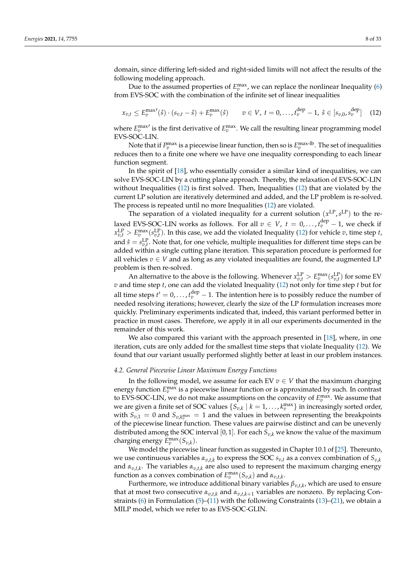domain, since differing left-sided and right-sided limits will not affect the results of the following modeling approach.

Due to the assumed properties of  $E_v^{\text{max}}$ , we can replace the nonlinear Inequality (6) from EVS-SOC with the combination of the infinite set of linear inequalities

$$
x_{v,t} \le E_v^{\max}(\hat{s}) \cdot (s_{v,t} - \hat{s}) + E_v^{\max}(\hat{s}) \qquad v \in V, \ t = 0, \dots, t_v^{\text{dep}} - 1, \ \hat{s} \in [s_{v,0}, s_v^{\text{dep}}] \tag{12}
$$

where  $E_v^{\text{max}}$  is the first derivative of  $E_v^{\text{max}}$ . We call the resulting linear programming model EVS-SOC-LIN.

Note that if  $P_v^{\max}$  is a piecewise linear function, then so is  $E_v^{\max\text{-}\mathrm{lb}}$  . The set of inequalities reduces then to a finite one where we have one inequality corresponding to each linear function segment.

In the spirit of [18], who essentially consider a similar kind of inequalities, we can solve EVS-SOC-LIN by a cutting plane approach. Thereby, the relaxation of EVS-SOC-LIN without Inequalities (12) is first solved. Then, Inequalities (12) that are violated by the current LP solution are iteratively determined and added, and the LP problem is re-solved. The process is repeated until no more Inequalities (12) are violated.

The separation of a violated inequality for a current solution  $(x^{\text{LP}}, s^{\text{LP}})$  to the relaxed EVS-SOC-LIN works as follows. For all  $v \in V$ ,  $t = 0, \ldots, t_v^{\text{dep}} - 1$ , we check if  $x_{v,t}^{\text{LP}} > E_v^{\text{max}}(s_{v,t}^{\text{LP}})$ . In this case, we add the violated Inequality (12) for vehicle *v*, time step *t*, and  $\hat{s} = s_{v,t}^{\text{LP}}$ . Note that, for one vehicle, multiple inequalities for different time steps can be added within a single cutting plane iteration. This separation procedure is performed for all vehicles  $v \in V$  and as long as any violated inequalities are found, the augmented LP problem is then re-solved.

An alternative to the above is the following. Whenever  $x_{v,t}^{\text{LP}} > E_v^{\text{max}}(s_{v,t}^{\text{LP}})$  for some EV *v* and time step *t*, one can add the violated Inequality (12) not only for time step *t* but for all time steps  $t' = 0, \ldots, t_v^{\text{dep}} - 1$ . The intention here is to possibly reduce the number of needed resolving iterations; however, clearly the size of the LP formulation increases more quickly. Preliminary experiments indicated that, indeed, this variant performed better in practice in most cases. Therefore, we apply it in all our experiments documented in the remainder of this work.

We also compared this variant with the approach presented in [18], where, in one iteration, cuts are only added for the smallest time steps that violate Inequality (12). We found that our variant usually performed slightly better at least in our problem instances.

#### *4.2. General Piecewise Linear Maximum Energy Functions*

In the following model, we assume for each EV  $v \in V$  that the maximum charging energy function  $E_v^{\text{max}}$  is a piecewise linear function or is approximated by such. In contrast to EVS-SOC-LIN, we do not make assumptions on the concavity of  $E_v^{\text{max}}$ . We assume that we are given a finite set of SOC values  $\{S_{v,k} \mid k = 1, \ldots, k_v^{\max}\}$  in increasingly sorted order, with  $S_{v,1} = 0$  and  $S_{v,k_v^{\max}} = 1$  and the values in between representing the breakpoints of the piecewise linear function. These values are pairwise distinct and can be unevenly distributed among the SOC interval [0, 1]. For each  $S_{v,k}$  we know the value of the maximum charging energy  $E_v^{\max}(S_{v,k})$ .

We model the piecewise linear function as suggested in Chapter 10.1 of [25]. Thereunto, we use continuous variables *αv*,*t*,*<sup>k</sup>* to express the SOC *sv*,*<sup>t</sup>* as a convex combination of *Sv*,*<sup>k</sup>* and *αv*,*t*,*<sup>k</sup>* . The variables *αv*,*t*,*<sup>k</sup>* are also used to represent the maximum charging energy function as a convex combination of  $E_v^{\max}(S_{v,k})$  and  $\alpha_{v,t,k}$ .

Furthermore, we introduce additional binary variables *βv*,*t*,*<sup>k</sup>* , which are used to ensure that at most two consecutive *αv*,*t*,*<sup>k</sup>* and *αv*,*t*,*k*+<sup>1</sup> variables are nonzero. By replacing Constraints (6) in Formulation (5)–(11) with the following Constraints (13)–(21), we obtain a MILP model, which we refer to as EVS-SOC-GLIN.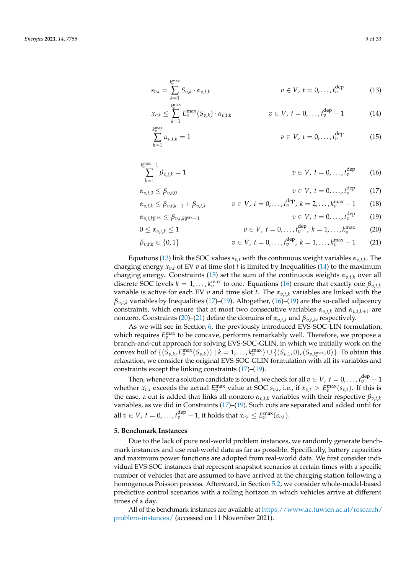$$
s_{v,t} = \sum_{k=1}^{k_v^{\max}} S_{v,k} \cdot \alpha_{v,t,k} \qquad \qquad v \in V, \ t = 0, \ldots, t_v^{\text{dep}} \qquad (13)
$$

$$
x_{v,t} \leq \sum_{k=1}^{k_v^{\max}} E_v^{\max}(S_{v,k}) \cdot \alpha_{v,t,k} \qquad v \in V, t = 0, \ldots, t_v^{\text{dep}} - 1 \qquad (14)
$$

$$
\sum_{k=1}^{k_v^{\max}} \alpha_{v,t,k} = 1 \qquad \qquad v \in V, \ t = 0, \ldots, t_v^{\text{dep}} \qquad (15)
$$

$$
\sum_{k=1}^{k_v^{\max}-1} \beta_{v,t,k} = 1 \qquad \qquad v \in V, \ t = 0, \ldots, t_v^{\text{dep}} \qquad (16)
$$

$$
\alpha_{v,t,0} \leq \beta_{v,t,0} \qquad \qquad v \in V, \ t = 0,\ldots,t_v^{\text{dep}} \qquad (17)
$$

$$
\alpha_{v,t,k} \leq \beta_{v,t,k-1} + \beta_{v,t,k} \qquad v \in V, \ t = 0, \ldots, t_v^{\text{dep}}, \ k = 2, \ldots, k_v^{\text{max}} - 1 \qquad (18)
$$

$$
\alpha_{v,t,k_v^{\max}} \leq \beta_{v,t,k_v^{\max}-1} \qquad \qquad v \in V, \ t = 0,\ldots,t_v^{\text{dep}} \qquad (19)
$$

$$
v \in V, t = 0, ..., t_v^{\text{dep}}, k = 1, ..., k_v^{\text{max}} \qquad (20)
$$

$$
\beta_{v,t,k} \in \{0,1\} \qquad v \in V, \ t = 0, \ldots, t_v^{\text{dep}}, \ k = 1, \ldots, k_v^{\text{max}} - 1 \qquad (21)
$$

Equations (13) link the SOC values  $s_{v,t}$  with the continuous weight variables  $\alpha_{v,t,k}$ . The charging energy  $x_{v,t}$  of EV  $v$  at time slot  $t$  is limited by Inequalities (14) to the maximum charging energy. Constraints (15) set the sum of the continuous weights *αv*,*t*,*<sup>k</sup>* over all discrete SOC levels  $k = 1, ..., k_v^{\text{max}}$  to one. Equations (16) ensure that exactly one  $\beta_{v,t,k}$ variable is active for each EV *v* and time slot *t*. The *αv*,*t*,*<sup>k</sup>* variables are linked with the  $\beta_{v,t,k}$  variables by Inequalities (17)–(19). Altogether, (16)–(19) are the so-called adjacency constraints, which ensure that at most two consecutive variables  $\alpha_{n+k}$  and  $\alpha_{n+k+1}$  are nonzero. Constraints (20)–(21) define the domains of *αv*,*t*,*<sup>k</sup>* and *βv*,*t*,*<sup>k</sup>* , respectively.

As we will see in Section 6, the previously introduced EVS-SOC-LIN formulation, which requires  $E_v^{\text{max}}$  to be concave, performs remarkably well. Therefore, we propose a branch-and-cut approach for solving EVS-SOC-GLIN, in which we initially work on the convex hull of  $\{(S_{v,k}, E_v^{\max}(S_{v,k})) \mid k = 1,\ldots,k_v^{\max}\} \cup \{(S_{v,1},0), (S_{v,k_v^{\max}},0)\}.$  To obtain this relaxation, we consider the original EVS-SOC-GLIN formulation with all its variables and constraints except the linking constraints (17)–(19).

Then, whenever a solution candidate is found, we check for all  $v \in V$  ,  $t = 0, \ldots$  ,  $t_v^{\text{dep}} - 1$ whether  $x_{v,t}$  exceeds the actual  $E_v^{\text{max}}$  value at SOC  $s_{v,t}$ , i.e., if  $x_{v,t} > E_v^{\text{max}}(s_{v,t})$ . If this is the case, a cut is added that links all nonzero  $\alpha_{v,t,k}$  variables with their respective  $\beta_{v,t,k}$ variables, as we did in Constraints (17)–(19). Such cuts are separated and added until for all  $v \in V$ ,  $t = 0, \ldots, t_v^{\text{dep}} - 1$ , it holds that  $x_{v,t} \le E_v^{\max}(s_{v,t})$ .

#### **5. Benchmark Instances**

 $0 \leq \alpha_{v,t,k} \leq 1$ 

Due to the lack of pure real-world problem instances, we randomly generate benchmark instances and use real-world data as far as possible. Specifically, battery capacities and maximum power functions are adopted from real-world data. We first consider individual EVS-SOC instances that represent snapshot scenarios at certain times with a specific number of vehicles that are assumed to have arrived at the charging station following a homogenous Poisson process. Afterward, in Section 5.2, we consider whole-model-based predictive control scenarios with a rolling horizon in which vehicles arrive at different times of a day.

All of the benchmark instances are available at [https://www.ac.tuwien.ac.at/research/](https://www.ac.tuwien.ac.at/research/problem-instances/) [problem-instances/](https://www.ac.tuwien.ac.at/research/problem-instances/) (accessed on 11 November 2021).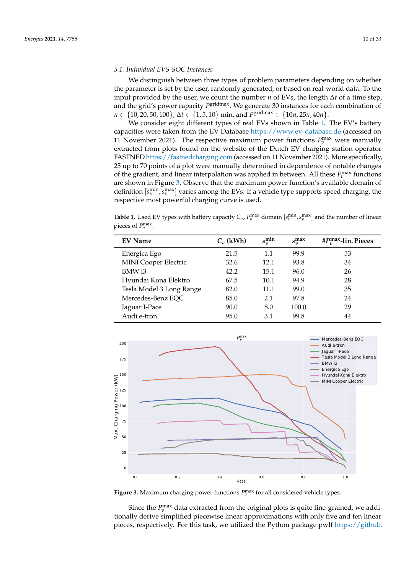### *5.1. Individual EVS-SOC Instances*

We distinguish between three types of problem parameters depending on whether the parameter is set by the user, randomly generated, or based on real-world data. To the input provided by the user, we count the number *n* of EVs, the length ∆*t* of a time step, and the grid's power capacity P<sup>gridmax</sup>. We generate 30 instances for each combination of *n* ∈ {10, 20, 50, 100}, ∆*t* ∈ {1, 5, 10} min, and *P* gridmax ∈ {10*n*, 25*n*, 40*n*}.

We consider eight different types of real EVs shown in Table 1. The EV's battery capacities were taken from the EV Database <https://www.ev-database.de> (accessed on 11 November 2021). The respective maximum power functions  $P_v^{\text{max}}$  were manually extracted from plots found on the website of the Dutch EV charging station operator FASTNED <https://fastnedcharging.com> (accessed on 11 November 2021). More specifically, 25 up to 70 points of a plot were manually determined in dependence of notable changes of the gradient, and linear interpolation was applied in between. All these  $P_v^{\text{max}}$  functions are shown in Figure 3. Observe that the maximum power function's available domain of definition  $[s_v^{\min}, s_v^{\max}]$  varies among the EVs. If a vehicle type supports speed charging, the respective most powerful charging curve is used.

**Table 1.** Used EV types with battery capacity  $C_v$ ,  $P_v^{\max}$  domain  $[s_v^{\min}, s_v^{\max}]$  and the number of linear pieces of  $P_v^{\text{max}}$ .

| <b>EV Name</b>              | $C_v$ (kWh) | $s_v^{\min}$ | $s_v^{\max}$ | # $P_n^{\max}$ -lin. Pieces |
|-----------------------------|-------------|--------------|--------------|-----------------------------|
| Energica Ego                | 21.5        | 1.1          | 99.9         | 53                          |
| <b>MINI Cooper Electric</b> | 32.6        | 12.1         | 93.8         | 34                          |
| BMW i3                      | 42.2        | 15.1         | 96.0         | 26                          |
| Hyundai Kona Elektro        | 67.5        | 10.1         | 94.9         | 28                          |
| Tesla Model 3 Long Range    | 82.0        | 11.1         | 99.0         | 35                          |
| Mercedes-Benz EQC           | 85.0        | 2.1          | 97.8         | 24                          |
| Jaguar I-Pace               | 90.0        | 8.0          | 100.0        | 29                          |
| Audi e-tron                 | 95.0        | 3.1          | 99.8         | 44                          |



**Figure 3.** Maximum charging power functions  $P_v^{\text{max}}$  for all considered vehicle types.

Since the  $P_v^{\text{max}}$  data extracted from the original plots is quite fine-grained, we additionally derive simplified piecewise linear approximations with only five and ten linear pieces, respectively. For this task, we utilized the Python package pwlf [https://github.](https://github.com/cjekel/piecewise_linear_fit_py)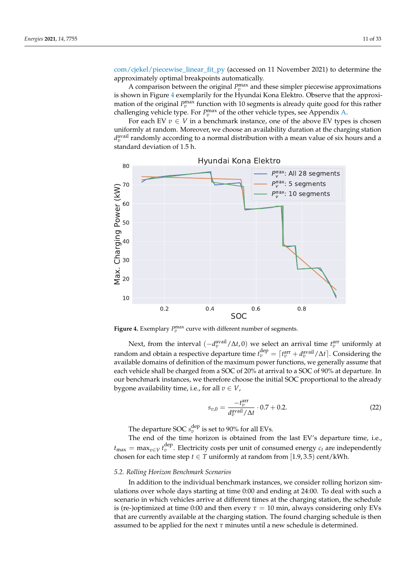[com/cjekel/piecewise\\_linear\\_fit\\_py](https://github.com/cjekel/piecewise_linear_fit_py) (accessed on 11 November 2021) to determine the approximately optimal breakpoints automatically.

A comparison between the original  $P_v^{\text{max}}$  and these simpler piecewise approximations is shown in Figure 4 exemplarily for the Hyundai Kona Elektro. Observe that the approximation of the original  $P_v^{\text{max}}$  function with 10 segments is already quite good for this rather challenging vehicle type. For  $P_v^{\text{max}}$  of the other vehicle types, see Appendix A.

For each EV  $v \in V$  in a benchmark instance, one of the above EV types is chosen uniformly at random. Moreover, we choose an availability duration at the charging station  $d_v^{\text{avail}}$  randomly according to a normal distribution with a mean value of six hours and a standard deviation of 1.5 h.



**Figure 4.** Exemplary  $P_v^{\text{max}}$  curve with different number of segments.

Next, from the interval ( $-d_v^{\text{avail}} / \Delta t$ , 0) we select an arrival time  $t_v^{\text{arr}}$  uniformly at random and obtain a respective departure time  $t_v^{\text{dep}} = \lceil t_v^{\text{arr}} + d_v^{\text{avail}} / \Delta t \rceil$ . Considering the available domains of definition of the maximum power functions, we generally assume that each vehicle shall be charged from a SOC of 20% at arrival to a SOC of 90% at departure. In our benchmark instances, we therefore choose the initial SOC proportional to the already bygone availability time, i.e., for all  $v \in V$ ,

$$
s_{v,0} = \frac{-t_v^{\text{arr}}}{d_v^{\text{avail}} / \Delta t} \cdot 0.7 + 0.2.
$$
 (22)

The departure SOC  $s_v^{\rm dep}$  is set to 90% for all EVs.

The end of the time horizon is obtained from the last EV's departure time, i.e.,  $t_{\text{max}} = \max_{v \in V} t_v^{\text{dep}}$ . Electricity costs per unit of consumed energy  $c_t$  are independently chosen for each time step  $t \in T$  uniformly at random from [1.9, 3.5) cent/kWh.

#### *5.2. Rolling Horizon Benchmark Scenarios*

In addition to the individual benchmark instances, we consider rolling horizon simulations over whole days starting at time 0:00 and ending at 24:00. To deal with such a scenario in which vehicles arrive at different times at the charging station, the schedule is (re-)optimized at time 0:00 and then every  $\tau = 10$  min, always considering only EVs that are currently available at the charging station. The found charging schedule is then assumed to be applied for the next *τ* minutes until a new schedule is determined.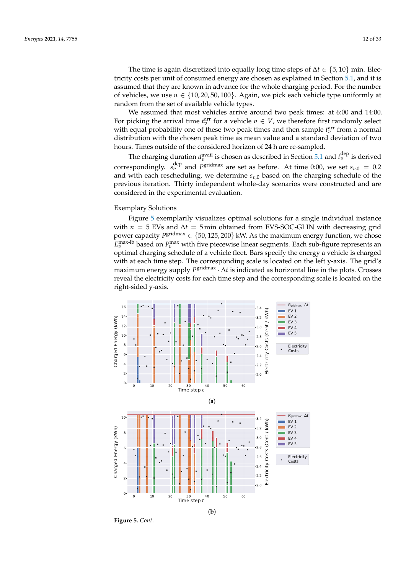The time is again discretized into equally long time steps of ∆*t* ∈ {5, 10} min. Electricity costs per unit of consumed energy are chosen as explained in Section 5.1, and it is assumed that they are known in advance for the whole charging period. For the number of vehicles, we use  $n \in \{10, 20, 50, 100\}$ . Again, we pick each vehicle type uniformly at random from the set of available vehicle types.

We assumed that most vehicles arrive around two peak times: at 6:00 and 14:00. For picking the arrival time  $t_v^{\text{arr}}$  for a vehicle  $v \in V$ , we therefore first randomly select with equal probability one of these two peak times and then sample  $t_v^{\text{arr}}$  from a normal distribution with the chosen peak time as mean value and a standard deviation of two hours. Times outside of the considered horizon of 24 h are re-sampled.

The charging duration  $d_v^{\text{avail}}$  is chosen as described in Section 5.1 and  $t_v^{\text{dep}}$  is derived correspondingly.  $s_v^{\text{dep}}$  and  $P^{\text{gridmax}}$  are set as before. At time 0:00, we set  $s_{v,0} = 0.2$ and with each rescheduling, we determine  $s_{v,0}$  based on the charging schedule of the previous iteration. Thirty independent whole-day scenarios were constructed and are considered in the experimental evaluation.

#### Exemplary Solutions

Figure 5 exemplarily visualizes optimal solutions for a single individual instance with  $n = 5$  EVs and  $\Delta t = 5$  min obtained from EVS-SOC-GLIN with decreasing grid power capacity *P*<sup>gridmax</sup> ∈ {50,125,200} kW. As the maximum energy function, we chose  $E_v^{\text{max-lb}}$  based on  $P_v^{\text{max}}$  with five piecewise linear segments. Each sub-figure represents an optimal charging schedule of a vehicle fleet. Bars specify the energy a vehicle is charged with at each time step. The corresponding scale is located on the left y-axis. The grid's maximum energy supply *P*<sup>gridmax</sup>  $\cdot$  ∆*t* is indicated as horizontal line in the plots. Crosses reveal the electricity costs for each time step and the corresponding scale is located on the right-sided y-axis.



**Figure 5.** *Cont*.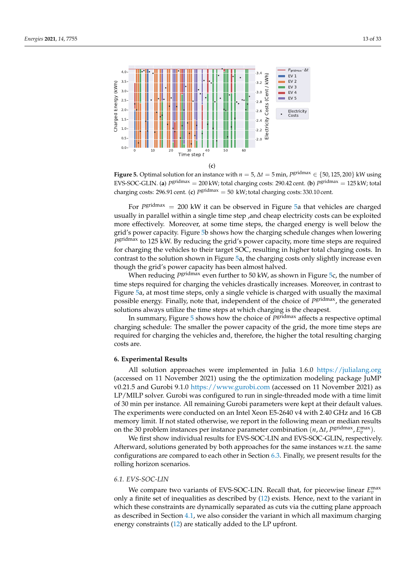

**Figure 5.** Optimal solution for an instance with  $n = 5$ ,  $\Delta t = 5$  min,  $P^{\text{gridmax}} \in \{50, 125, 200\}$  kW using EVS-SOC-GLIN. (a)  $P^{\text{gridmax}} = 200$  kW; total charging costs: 290.42 cent. (b)  $P^{\text{gridmax}} = 125$  kW; total charging costs: 296.91 cent. (**c**)  $P^{\text{gridmax}} = 50 \, \text{kW}$ ; total charging costs: 330.10 cent.

For *P*<sup>gridmax</sup> = 200 kW it can be observed in Figure 5a that vehicles are charged usually in parallel within a single time step , and cheap electricity costs can be exploited more effectively. Moreover, at some time steps, the charged energy is well below the grid's power capacity. Figure 5b shows how the charging schedule changes when lowering *P* gridmax to 125 kW. By reducing the grid's power capacity, more time steps are required for charging the vehicles to their target SOC, resulting in higher total charging costs. In contrast to the solution shown in Figure 5a, the charging costs only slightly increase even though the grid's power capacity has been almost halved.

When reducing *P* gridmax even further to 50 kW, as shown in Figure 5c, the number of time steps required for charging the vehicles drastically increases. Moreover, in contrast to Figure 5a, at most time steps, only a single vehicle is charged with usually the maximal possible energy. Finally, note that, independent of the choice of P<sup>gridmax</sup>, the generated solutions always utilize the time steps at which charging is the cheapest.

In summary, Figure 5 shows how the choice of *P* gridmax affects a respective optimal charging schedule: The smaller the power capacity of the grid, the more time steps are required for charging the vehicles and, therefore, the higher the total resulting charging costs are.

#### **6. Experimental Results**

All solution approaches were implemented in Julia 1.6.0 <https://julialang.org> (accessed on 11 November 2021) using the the optimization modeling package JuMP v0.21.5 and Gurobi 9.1.0 <https://www.gurobi.com> (accessed on 11 November 2021) as LP/MILP solver. Gurobi was configured to run in single-threaded mode with a time limit of 30 min per instance. All remaining Gurobi parameters were kept at their default values. The experiments were conducted on an Intel Xeon E5-2640 v4 with 2.40 GHz and 16 GB memory limit. If not stated otherwise, we report in the following mean or median results on the 30 problem instances per instance parameter combination  $(n, \Delta t, P^{\text{gridmax}}, E_v^{\text{max}})$ .

We first show individual results for EVS-SOC-LIN and EVS-SOC-GLIN, respectively. Afterward, solutions generated by both approaches for the same instances w.r.t. the same configurations are compared to each other in Section 6.3. Finally, we present results for the rolling horizon scenarios.

#### *6.1. EVS-SOC-LIN*

We compare two variants of EVS-SOC-LIN. Recall that, for piecewise linear  $E_v^{\text{max}}$ only a finite set of inequalities as described by (12) exists. Hence, next to the variant in which these constraints are dynamically separated as cuts via the cutting plane approach as described in Section 4.1, we also consider the variant in which all maximum charging energy constraints (12) are statically added to the LP upfront.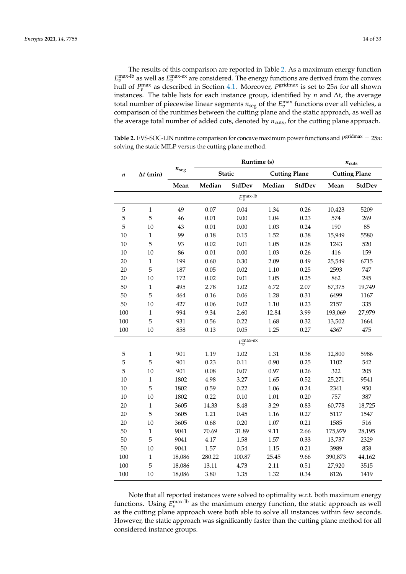The results of this comparison are reported in Table 2. As a maximum energy function  $E_v^{\text{max-lb}}$  as well as  $E_v^{\text{max-ex}}$  are considered. The energy functions are derived from the convex hull of  $P_v^{\text{max}}$  as described in Section 4.1. Moreover,  $P_{\text{gridmax}}$  is set to 25*n* for all shown instances. The table lists for each instance group, identified by *n* and ∆*t*, the average total number of piecewise linear segments  $n_{\text{seg}}$  of the  $E_v^{\text{max}}$  functions over all vehicles, a comparison of the runtimes between the cutting plane and the static approach, as well as the average total number of added cuts, denoted by  $n_{\text{cuts}}$ , for the cutting plane approach.

|                  |                  |               |          |                       | Runtime (s) |                      | $n_{\text{cuts}}$ |                      |  |
|------------------|------------------|---------------|----------|-----------------------|-------------|----------------------|-------------------|----------------------|--|
| $\boldsymbol{n}$ | $\Delta t$ (min) | $n_{\rm seg}$ |          | <b>Static</b>         |             | <b>Cutting Plane</b> |                   | <b>Cutting Plane</b> |  |
|                  |                  | Mean          | Median   | <b>StdDev</b>         | Median      | StdDev               | Mean              | <b>StdDev</b>        |  |
|                  |                  |               |          | $E_v^{\text{max-lb}}$ |             |                      |                   |                      |  |
| 5                | $\mathbf 1$      | 49            | 0.07     | 0.04                  | 1.34        | 0.26                 | 10,423            | 5209                 |  |
| 5                | 5                | 46            | $0.01\,$ | 0.00                  | 1.04        | 0.23                 | 574               | 269                  |  |
| 5                | 10               | 43            | $0.01\,$ | 0.00                  | 1.03        | 0.24                 | 190               | 85                   |  |
| 10               | $\mathbf{1}$     | 99            | 0.18     | 0.15                  | 1.52        | 0.38                 | 15,949            | 5580                 |  |
| $10\,$           | 5                | 93            | 0.02     | 0.01                  | 1.05        | 0.28                 | 1243              | 520                  |  |
| 10               | 10               | 86            | 0.01     | 0.00                  | 1.03        | 0.26                 | 416               | 159                  |  |
| 20               | $\mathbf{1}$     | 199           | 0.60     | 0.30                  | 2.09        | 0.49                 | 25,549            | 6715                 |  |
| 20               | 5                | 187           | 0.05     | 0.02                  | 1.10        | 0.25                 | 2593              | 747                  |  |
| 20               | 10               | 172           | 0.02     | 0.01                  | 1.05        | 0.25                 | 862               | 245                  |  |
| 50               | $\mathbf{1}$     | 495           | 2.78     | 1.02                  | 6.72        | 2.07                 | 87,375            | 19,749               |  |
| 50               | 5                | 464           | 0.16     | 0.06                  | 1.28        | 0.31                 | 6499              | 1167                 |  |
| 50               | 10               | 427           | 0.06     | 0.02                  | 1.10        | 0.23                 | 2157              | 335                  |  |
| 100              | $\mathbf 1$      | 994           | 9.34     | 2.60                  | 12.84       | 3.99                 | 193,069           | 27,979               |  |
| 100              | 5                | 931           | 0.56     | 0.22                  | 1.68        | 0.32                 | 13,502            | 1664                 |  |
| 100              | 10               | 858           | 0.13     | 0.05                  | 1.25        | 0.27                 | 4367              | 475                  |  |
|                  |                  |               |          | $E_v^{\max-ex}$       |             |                      |                   |                      |  |
| 5                | $\mathbf{1}$     | 901           | 1.19     | 1.02                  | 1.31        | 0.38                 | 12,800            | 5986                 |  |
| 5                | 5                | 901           | 0.23     | 0.11                  | 0.90        | 0.25                 | 1102              | 542                  |  |
| 5                | 10               | 901           | 0.08     | 0.07                  | 0.97        | 0.26                 | 322               | 205                  |  |
| 10               | $\,1\,$          | 1802          | 4.98     | 3.27                  | 1.65        | 0.52                 | 25,271            | 9541                 |  |
| $10\,$           | 5                | 1802          | 0.59     | 0.22                  | 1.06        | 0.24                 | 2341              | 950                  |  |
| $10\,$           | $10\,$           | 1802          | 0.22     | 0.10                  | $1.01\,$    | 0.20                 | 757               | 387                  |  |
| 20               | $\mathbf{1}$     | 3605          | 14.33    | 8.48                  | 3.29        | 0.83                 | 60,778            | 18,725               |  |
| 20               | 5                | 3605          | 1.21     | 0.45                  | 1.16        | 0.27                 | 5117              | 1547                 |  |
| 20               | 10               | 3605          | 0.68     | 0.20                  | 1.07        | 0.21                 | 1585              | 516                  |  |
| 50               | $\,1\,$          | 9041          | 70.69    | 31.89                 | 9.11        | 2.66                 | 175,979           | 28,195               |  |
| 50               | 5                | 9041          | 4.17     | 1.58                  | 1.57        | 0.33                 | 13,737            | 2329                 |  |
| 50               | $10\,$           | 9041          | 1.57     | 0.54                  | 1.15        | 0.21                 | 3989              | 858                  |  |
| 100              | $\,1$            | 18,086        | 280.22   | 100.87                | 25.45       | 9.66                 | 390,873           | 44,162               |  |
| 100              | 5                | 18,086        | 13.11    | 4.73                  | 2.11        | 0.51                 | 27,920            | 3515                 |  |
| 100              | 10               | 18,086        | 3.80     | 1.35                  | 1.32        | 0.34                 | 8126              | 1419                 |  |

Table 2. EVS-SOC-LIN runtime comparison for concave maximum power functions and *Pgridmax* = 25*n*: solving the static MILP versus the cutting plane method.

Note that all reported instances were solved to optimality w.r.t. both maximum energy functions. Using  $E_v^{\text{max-lb}}$  as the maximum energy function, the static approach as well as the cutting plane approach were both able to solve all instances within few seconds. However, the static approach was significantly faster than the cutting plane method for all considered instance groups.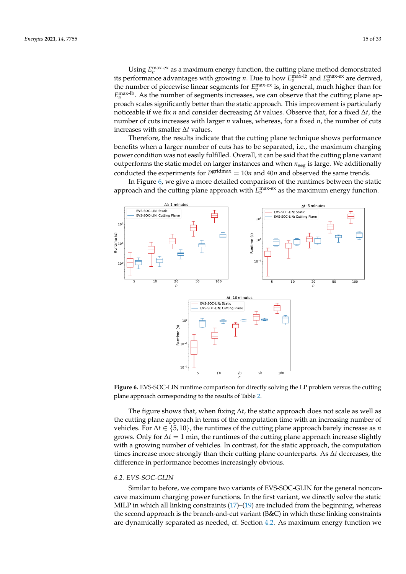Using  $E_v^{\text{max-ex}}$  as a maximum energy function, the cutting plane method demonstrated its performance advantages with growing *n*. Due to how  $E_v^{\text{max-lb}}$  and  $E_v^{\text{max-ex}}$  are derived, the number of piecewise linear segments for  $E_v^{\text{max-ex}}$  is, in general, much higher than for  $E_v^{\text{max-lb}}$ . As the number of segments increases, we can observe that the cutting plane approach scales significantly better than the static approach. This improvement is particularly noticeable if we fix *n* and consider decreasing ∆*t* values. Observe that, for a fixed ∆*t*, the number of cuts increases with larger *n* values, whereas, for a fixed *n*, the number of cuts increases with smaller ∆*t* values.

Therefore, the results indicate that the cutting plane technique shows performance benefits when a larger number of cuts has to be separated, i.e., the maximum charging power condition was not easily fulfilled. Overall, it can be said that the cutting plane variant outperforms the static model on larger instances and when *n*seg is large. We additionally conducted the experiments for  $P<sup>gridmax</sup> = 10n$  and  $40n$  and observed the same trends.

In Figure 6, we give a more detailed comparison of the runtimes between the static approach and the cutting plane approach with  $E_v^{\text{max-ex}}$  as the maximum energy function.



**Figure 6.** EVS-SOC-LIN runtime comparison for directly solving the LP problem versus the cutting plane approach corresponding to the results of Table 2.

The figure shows that, when fixing  $\Delta t$ , the static approach does not scale as well as the cutting plane approach in terms of the computation time with an increasing number of vehicles. For ∆*t* ∈ {5, 10}, the runtimes of the cutting plane approach barely increase as *n* grows. Only for  $\Delta t = 1$  min, the runtimes of the cutting plane approach increase slightly with a growing number of vehicles. In contrast, for the static approach, the computation times increase more strongly than their cutting plane counterparts. As ∆*t* decreases, the difference in performance becomes increasingly obvious.

#### *6.2. EVS-SOC-GLIN*

Similar to before, we compare two variants of EVS-SOC-GLIN for the general nonconcave maximum charging power functions. In the first variant, we directly solve the static MILP in which all linking constraints (17)–(19) are included from the beginning, whereas the second approach is the branch-and-cut variant (B&C) in which these linking constraints are dynamically separated as needed, cf. Section 4.2. As maximum energy function we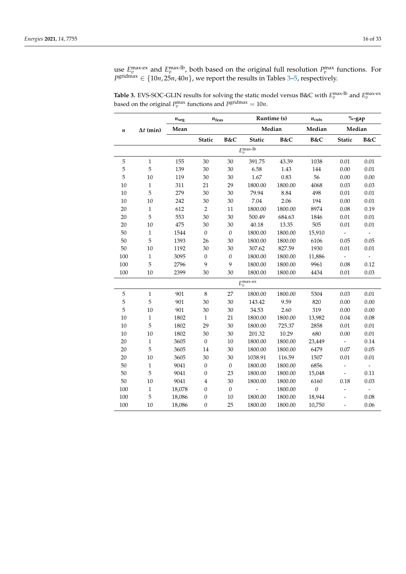use  $E_v^{\text{max-ex}}$  and  $E_v^{\text{max-lb}}$ , both based on the original full resolution  $P_v^{\text{max}}$  functions. For  $P^{\text{gridmax}} \in \{10n, 25n, 40n\}$ , we report the results in Tables 3–5, respectively.

|                  |                  | $n_{\rm seg}$ | $n_{\rm feas}$   |                  |                       | Runtime (s) | $n_{\text{cuts}}$ | $\%$ -gap                |                          |
|------------------|------------------|---------------|------------------|------------------|-----------------------|-------------|-------------------|--------------------------|--------------------------|
| $\boldsymbol{n}$ | $\Delta t$ (min) | Mean          |                  |                  |                       | Median      | Median            | Median                   |                          |
|                  |                  |               | <b>Static</b>    | B&C              | Static                | B&C         | B&C               | <b>Static</b>            | B&C                      |
|                  |                  |               |                  |                  | $E_v^{\rm max-lb}$    |             |                   |                          |                          |
| 5                | $\,1\,$          | 155           | 30               | 30               | 391.75                | 43.39       | 1038              | 0.01                     | 0.01                     |
| 5                | 5                | 139           | 30               | 30               | 6.58                  | 1.43        | 144               | 0.00                     | 0.01                     |
| 5                | 10               | 119           | 30               | 30               | 1.67                  | 0.83        | 56                | 0.00                     | 0.00                     |
| 10               | $\mathbf{1}$     | 311           | 21               | 29               | 1800.00               | 1800.00     | 4068              | 0.03                     | 0.03                     |
| $10\,$           | 5                | 279           | 30               | 30               | 79.94                 | 8.84        | 498               | 0.01                     | 0.01                     |
| $10\,$           | 10               | 242           | 30               | 30               | 7.04                  | 2.06        | 194               | 0.00                     | 0.01                     |
| 20               | $\,1\,$          | 612           | $\sqrt{2}$       | 11               | 1800.00               | 1800.00     | 8974              | 0.08                     | 0.19                     |
| 20               | 5                | 553           | 30               | 30               | 500.49                | 684.63      | 1846              | $0.01\,$                 | 0.01                     |
| 20               | 10               | 475           | 30               | 30               | 40.18                 | 13.35       | 505               | 0.01                     | 0.01                     |
| 50               | $\mathbf{1}$     | 1544          | $\boldsymbol{0}$ | $\mathbf{0}$     | 1800.00               | 1800.00     | 15,910            | $\overline{\phantom{0}}$ |                          |
| 50               | 5                | 1393          | 26               | 30               | 1800.00               | 1800.00     | 6106              | 0.05                     | 0.05                     |
| 50               | 10               | 1192          | 30               | 30               | 307.62                | 827.59      | 1930              | 0.01                     | 0.01                     |
| 100              | $\,1\,$          | 3095          | $\boldsymbol{0}$ | $\boldsymbol{0}$ | 1800.00               | 1800.00     | 11,886            | $\overline{\phantom{0}}$ |                          |
| 100              | 5                | 2796          | 9                | 9                | 1800.00               | 1800.00     | 9961              | 0.08                     | 0.12                     |
| 100              | 10               | 2399          | 30               | 30               | 1800.00               | 1800.00     | 4434              | 0.01                     | 0.03                     |
|                  |                  |               |                  |                  | $E_v^{\text{max-ex}}$ |             |                   |                          |                          |
| $\mathbf 5$      | $\mathbf{1}$     | 901           | $\,8\,$          | 27               | 1800.00               | 1800.00     | 5304              | 0.03                     | 0.01                     |
| 5                | 5                | 901           | 30               | 30               | 143.42                | 9.59        | 820               | 0.00                     | 0.00                     |
| $\overline{5}$   | 10               | 901           | 30               | 30               | 34.53                 | 2.60        | 319               | 0.00                     | 0.00                     |
| 10               | $\mathbf{1}$     | 1802          | $\mathbf{1}$     | 21               | 1800.00               | 1800.00     | 13,982            | 0.04                     | 0.08                     |
| 10               | 5                | 1802          | 29               | 30               | 1800.00               | 725.37      | 2858              | 0.01                     | 0.01                     |
| 10               | 10               | 1802          | 30               | 30               | 201.32                | 10.29       | 680               | 0.00                     | 0.01                     |
| 20               | $\,1$            | 3605          | $\boldsymbol{0}$ | 10               | 1800.00               | 1800.00     | 23,449            | $\overline{\phantom{a}}$ | 0.14                     |
| 20               | 5                | 3605          | 14               | 30               | 1800.00               | 1800.00     | 6479              | 0.07                     | 0.05                     |
| 20               | 10               | 3605          | 30               | 30               | 1038.91               | 116.59      | 1507              | 0.01                     | 0.01                     |
| 50               | $\,1\,$          | 9041          | $\boldsymbol{0}$ | $\mathbf{0}$     | 1800.00               | 1800.00     | 6856              |                          | $\overline{\phantom{a}}$ |
| 50               | 5                | 9041          | $\boldsymbol{0}$ | 23               | 1800.00               | 1800.00     | 15,048            | $\overline{\phantom{a}}$ | 0.11                     |
| 50               | 10               | 9041          | $\bf 4$          | 30               | 1800.00               | 1800.00     | 6160              | 0.18                     | 0.03                     |
| 100              | $\mathbf{1}$     | 18,078        | $\boldsymbol{0}$ | $\mathbf{0}$     | $\frac{1}{2}$         | 1800.00     | $\mathbf{0}$      | $\overline{a}$           | $\overline{\phantom{a}}$ |
| 100              | 5                | 18,086        | $\boldsymbol{0}$ | 10               | 1800.00               | 1800.00     | 18,944            |                          | 0.08                     |
| 100              | 10               | 18,086        | $\boldsymbol{0}$ | 25               | 1800.00               | 1800.00     | 10,750            | $\overline{a}$           | 0.06                     |

**Table 3.** EVS-SOC-GLIN results for solving the static model versus B&C with  $E_v^{\text{max-lb}}$  and  $E_v^{\text{max-ex}}$ based on the original  $P_v^{\text{max}}$  functions and  $P_s^{\text{gridmax}} = 10n$ .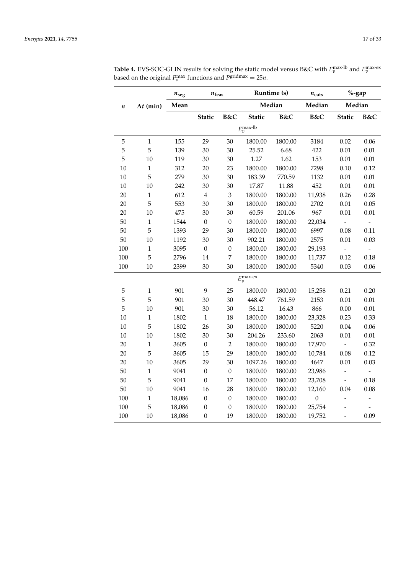|                  |                  | $n_{\rm seg}$<br>$n_{\rm feas}$ |                  | Runtime (s)                 |                       | $n_{\text{cuts}}$ | $\%$ -gap        |                |                |
|------------------|------------------|---------------------------------|------------------|-----------------------------|-----------------------|-------------------|------------------|----------------|----------------|
| $\boldsymbol{n}$ | $\Delta t$ (min) | Mean                            |                  |                             | Median                |                   | Median           | Median         |                |
|                  |                  |                                 | <b>Static</b>    | B&C                         | <b>Static</b>         | B&C               | B&C              | <b>Static</b>  | B&C            |
|                  |                  |                                 |                  |                             | $E_v^{\text{max-lb}}$ |                   |                  |                |                |
| 5                | $\mathbf{1}$     | 155                             | 29               | 30                          | 1800.00               | 1800.00           | 3184             | 0.02           | 0.06           |
| 5                | 5                | 139                             | 30               | 30                          | 25.52                 | 6.68              | 422              | 0.01           | 0.01           |
| 5                | 10               | 119                             | 30               | 30                          | 1.27                  | 1.62              | 153              | 0.01           | 0.01           |
| 10               | $\mathbf 1$      | 312                             | 20               | 23                          | 1800.00               | 1800.00           | 7298             | 0.10           | 0.12           |
| 10               | 5                | 279                             | 30               | 30                          | 183.39                | 770.59            | 1132             | 0.01           | 0.01           |
| 10               | 10               | 242                             | 30               | 30                          | 17.87                 | 11.88             | 452              | 0.01           | 0.01           |
| 20               | $\mathbf{1}$     | 612                             | $\bf 4$          | $\ensuremath{\mathfrak{Z}}$ | 1800.00               | 1800.00           | 11,938           | 0.26           | 0.28           |
| 20               | 5                | 553                             | 30               | 30                          | 1800.00               | 1800.00           | 2702             | 0.01           | 0.05           |
| 20               | 10               | 475                             | 30               | 30                          | 60.59                 | 201.06            | 967              | 0.01           | 0.01           |
| 50               | $\,1\,$          | 1544                            | $\boldsymbol{0}$ | $\boldsymbol{0}$            | 1800.00               | 1800.00           | 22,034           | $\overline{a}$ |                |
| 50               | 5                | 1393                            | 29               | 30                          | 1800.00               | 1800.00           | 6997             | 0.08           | 0.11           |
| 50               | 10               | 1192                            | 30               | 30                          | 902.21                | 1800.00           | 2575             | 0.01           | 0.03           |
| 100              | $\,1\,$          | 3095                            | $\boldsymbol{0}$ | $\boldsymbol{0}$            | 1800.00               | 1800.00           | 29,193           | $\overline{a}$ |                |
| 100              | 5                | 2796                            | 14               | 7                           | 1800.00               | 1800.00           | 11,737           | 0.12           | 0.18           |
| 100              | 10               | 2399                            | 30               | 30                          | 1800.00               | 1800.00           | 5340             | 0.03           | 0.06           |
|                  |                  |                                 |                  |                             | $E_v^{\max-ex}$       |                   |                  |                |                |
| 5                | $\mathbf{1}$     | 901                             | 9                | 25                          | 1800.00               | 1800.00           | 15,258           | 0.21           | 0.20           |
| 5                | 5                | 901                             | 30               | 30                          | 448.47                | 761.59            | 2153             | 0.01           | 0.01           |
| 5                | 10               | 901                             | 30               | 30                          | 56.12                 | 16.43             | 866              | 0.00           | 0.01           |
| 10               | $\mathbf 1$      | 1802                            | $\mathbf 1$      | 18                          | 1800.00               | 1800.00           | 23,328           | 0.23           | 0.33           |
| 10               | 5                | 1802                            | 26               | 30                          | 1800.00               | 1800.00           | 5220             | 0.04           | 0.06           |
| 10               | 10               | 1802                            | 30               | 30                          | 204.26                | 233.60            | 2063             | 0.01           | 0.01           |
| 20               | $\mathbf 1$      | 3605                            | $\boldsymbol{0}$ | $\overline{2}$              | 1800.00               | 1800.00           | 17,970           | $\overline{a}$ | 0.32           |
| 20               | 5                | 3605                            | 15               | 29                          | 1800.00               | 1800.00           | 10,784           | 0.08           | 0.12           |
| 20               | 10               | 3605                            | 29               | 30                          | 1097.26               | 1800.00           | 4647             | 0.01           | 0.03           |
| 50               | $\mathbf{1}$     | 9041                            | $\boldsymbol{0}$ | $\boldsymbol{0}$            | 1800.00               | 1800.00           | 23,986           | $\overline{a}$ | $\frac{1}{2}$  |
| 50               | 5                | 9041                            | $\boldsymbol{0}$ | 17                          | 1800.00               | 1800.00           | 23,708           | $\frac{1}{2}$  | 0.18           |
| 50               | 10               | 9041                            | 16               | 28                          | 1800.00               | 1800.00           | 12,160           | 0.04           | 0.08           |
| 100              | $\,1\,$          | 18,086                          | $\boldsymbol{0}$ | $\boldsymbol{0}$            | 1800.00               | 1800.00           | $\boldsymbol{0}$ | $\overline{a}$ | $\overline{a}$ |
| 100              | 5                | 18,086                          | $\boldsymbol{0}$ | $\boldsymbol{0}$            | 1800.00               | 1800.00           | 25,754           |                | $\frac{1}{2}$  |
| 100              | 10               | 18,086                          | $\mathbf{0}$     | 19                          | 1800.00               | 1800.00           | 19,752           | $\overline{a}$ | 0.09           |

**Table 4.** EVS-SOC-GLIN results for solving the static model versus B&C with  $E_v^{\text{max-lb}}$  and  $E_v^{\text{max-ex}}$ based on the original  $P_v^{\text{max}}$  functions and  $P_s^{\text{gridmax}} = 25n$ .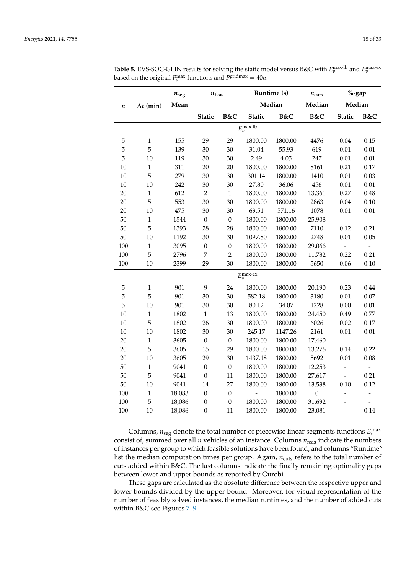|           |                  | $n_{\rm seg}$<br>$n_{\mathrm{feas}}$ |                  |                  |                          | Runtime (s) | $n_{\text{cuts}}$ | $%$ -gap                     |                |
|-----------|------------------|--------------------------------------|------------------|------------------|--------------------------|-------------|-------------------|------------------------------|----------------|
| $\pmb{n}$ | $\Delta t$ (min) | Mean                                 |                  |                  |                          | Median      | Median            | Median                       |                |
|           |                  |                                      | <b>Static</b>    | B&C              | <b>Static</b>            | B&C         | B&C               | <b>Static</b>                | B&C            |
|           |                  |                                      |                  |                  | $E_v^{\text{max-lb}}$    |             |                   |                              |                |
| 5         | $\mathbf{1}$     | 155                                  | 29               | 29               | 1800.00                  | 1800.00     | 4476              | 0.04                         | 0.15           |
| 5         | 5                | 139                                  | 30               | 30               | 31.04                    | 55.93       | 619               | 0.01                         | 0.01           |
| 5         | 10               | 119                                  | 30               | 30               | 2.49                     | 4.05        | 247               | 0.01                         | 0.01           |
| 10        | $\mathbf{1}$     | 311                                  | 20               | 20               | 1800.00                  | 1800.00     | 8161              | 0.21                         | 0.17           |
| 10        | 5                | 279                                  | 30               | 30               | 301.14                   | 1800.00     | 1410              | 0.01                         | 0.03           |
| 10        | 10               | 242                                  | 30               | 30               | 27.80                    | 36.06       | 456               | 0.01                         | 0.01           |
| 20        | $\mathbf{1}$     | 612                                  | $\overline{2}$   | $\mathbf{1}$     | 1800.00                  | 1800.00     | 13,361            | 0.27                         | 0.48           |
| $20\,$    | 5                | 553                                  | 30               | 30               | 1800.00                  | 1800.00     | 2863              | 0.04                         | 0.10           |
| 20        | 10               | 475                                  | 30               | 30               | 69.51                    | 571.16      | 1078              | 0.01                         | 0.01           |
| 50        | $\mathbf{1}$     | 1544                                 | $\boldsymbol{0}$ | $\boldsymbol{0}$ | 1800.00                  | 1800.00     | 25,908            |                              |                |
| 50        | 5                | 1393                                 | 28               | 28               | 1800.00                  | 1800.00     | 7110              | 0.12                         | 0.21           |
| 50        | 10               | 1192                                 | 30               | 30               | 1097.80                  | 1800.00     | 2748              | 0.01                         | 0.05           |
| 100       | $\,1\,$          | 3095                                 | $\boldsymbol{0}$ | $\boldsymbol{0}$ | 1800.00                  | 1800.00     | 29,066            | $\overline{\phantom{0}}$     |                |
| 100       | 5                | 2796                                 | $\overline{7}$   | $\overline{2}$   | 1800.00                  | 1800.00     | 11,782            | 0.22                         | 0.21           |
| 100       | 10               | 2399                                 | 29               | 30               | 1800.00                  | 1800.00     | 5650              | 0.06                         | 0.10           |
|           |                  |                                      |                  |                  | $E_v^{\text{max-ex}}$    |             |                   |                              |                |
| 5         | $\mathbf{1}$     | 901                                  | 9                | 24               | 1800.00                  | 1800.00     | 20,190            | 0.23                         | 0.44           |
| 5         | 5                | 901                                  | 30               | 30               | 582.18                   | 1800.00     | 3180              | 0.01                         | 0.07           |
| 5         | 10               | 901                                  | 30               | 30               | 80.12                    | 34.07       | 1228              | 0.00                         | 0.01           |
| 10        | $\mathbf{1}$     | 1802                                 | $\mathbf{1}$     | 13               | 1800.00                  | 1800.00     | 24,450            | 0.49                         | 0.77           |
| 10        | 5                | 1802                                 | 26               | 30               | 1800.00                  | 1800.00     | 6026              | 0.02                         | 0.17           |
| 10        | 10               | 1802                                 | 30               | 30               | 245.17                   | 1147.26     | 2161              | 0.01                         | 0.01           |
| 20        | $\mathbf{1}$     | 3605                                 | $\boldsymbol{0}$ | $\boldsymbol{0}$ | 1800.00                  | 1800.00     | 17,460            | $\overline{\phantom{a}}$     | $\frac{1}{2}$  |
| 20        | 5                | 3605                                 | 15               | 29               | 1800.00                  | 1800.00     | 13,276            | 0.14                         | 0.22           |
| 20        | 10               | 3605                                 | 29               | 30               | 1437.18                  | 1800.00     | 5692              | 0.01                         | 0.08           |
| 50        | $\mathbf{1}$     | 9041                                 | $\boldsymbol{0}$ | $\boldsymbol{0}$ | 1800.00                  | 1800.00     | 12,253            | $\qquad \qquad \blacksquare$ | $\frac{1}{2}$  |
| 50        | 5                | 9041                                 | $\boldsymbol{0}$ | 11               | 1800.00                  | 1800.00     | 27,617            | $\overline{\phantom{a}}$     | 0.21           |
| $50\,$    | 10               | 9041                                 | 14               | 27               | 1800.00                  | 1800.00     | 13,538            | 0.10                         | 0.12           |
| 100       | $\mathbf{1}$     | 18,083                               | $\boldsymbol{0}$ | $\boldsymbol{0}$ | $\overline{\phantom{0}}$ | 1800.00     | $\mathbf{0}$      | -                            | $\overline{a}$ |
| 100       | 5                | 18,086                               | $\boldsymbol{0}$ | $\boldsymbol{0}$ | 1800.00                  | 1800.00     | 31,692            | -                            |                |
| 100       | 10               | 18,086                               | $\boldsymbol{0}$ | 11               | 1800.00                  | 1800.00     | 23,081            | $\overline{\phantom{0}}$     | 0.14           |

**Table 5.** EVS-SOC-GLIN results for solving the static model versus B&C with  $E_v^{\text{max-lb}}$  and  $E_v^{\text{max-ex}}$ based on the original  $P_v^{\text{max}}$  functions and  $P_s^{\text{gridmax}} = 40n$ .

Columns,  $n_{\text{seg}}$  denote the total number of piecewise linear segments functions  $E_v^{\text{max}}$ consist of, summed over all  $n$  vehicles of an instance. Columns  $n_{\text{feas}}$  indicate the numbers of instances per group to which feasible solutions have been found, and columns "Runtime" list the median computation times per group. Again,  $n_{\text{cuts}}$  refers to the total number of cuts added within B&C. The last columns indicate the finally remaining optimality gaps between lower and upper bounds as reported by Gurobi.

These gaps are calculated as the absolute difference between the respective upper and lower bounds divided by the upper bound. Moreover, for visual representation of the number of feasibly solved instances, the median runtimes, and the number of added cuts within B&C see Figures 7–9.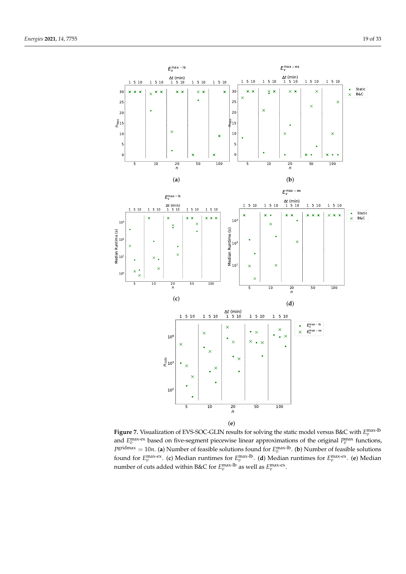

**Figure 7.** Visualization of EVS-SOC-GLIN results for solving the static model versus B&C with  $E_v^{\text{max-lb}}$ and  $E_v^{\text{max-ex}}$  based on five-segment piecewise linear approximations of the original  $P_v^{\text{max}}$  functions,  $P^{\text{gridmax}}_u = 10n$ . (**a**) Number of feasible solutions found for  $E^{\text{max-lb}}_v$ . (**b**) Number of feasible solutions found for  $E_v^{\text{max-ex}}$ . (c) Median runtimes for  $E_v^{\text{max-lb}}$ . (d) Median runtimes for  $E_v^{\text{max-ex}}$ . (e) Median number of cuts added within B&C for  $E_v^{\text{max-lb}}$  as well as  $E_v^{\text{max-ex}}$ .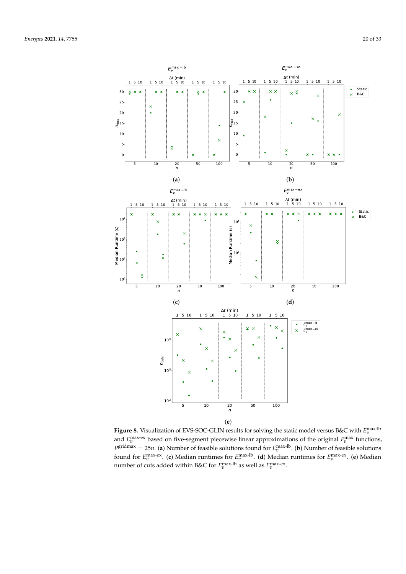

**Figure 8.** Visualization of EVS-SOC-GLIN results for solving the static model versus B&C with  $E_v^{\text{max-lb}}$ and  $E_v^{\text{max-ex}}$  based on five-segment piecewise linear approximations of the original  $P_v^{\text{max}}$  functions,  $P^{\text{gridmax}} = 25n$ . (**a**) Number of feasible solutions found for  $E^{\text{max-lb}}_v$ . (**b**) Number of feasible solutions found for  $E_v^{\text{max-ex}}$ . (c) Median runtimes for  $E_v^{\text{max-lb}}$ . (d) Median runtimes for  $E_v^{\text{max-ex}}$ . (e) Median number of cuts added within B&C for  $E_v^{\text{max-lb}}$  as well as  $E_v^{\text{max-ex}}$ .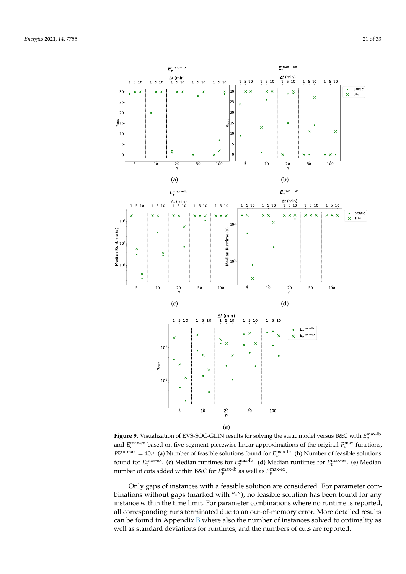

**Figure 9.** Visualization of EVS-SOC-GLIN results for solving the static model versus B&C with  $E_v^{\text{max-lb}}$ and  $E_v^{\text{max-ex}}$  based on five-segment piecewise linear approximations of the original  $P_v^{\text{max}}$  functions,  $P^{\text{gridmax}}_x = 40n$ . (**a**) Number of feasible solutions found for  $E^{\text{max-lb}}_v$ . (**b**) Number of feasible solutions found for  $E_v^{\text{max-ex}}$ . (c) Median runtimes for  $E_v^{\text{max-lb}}$ . (d) Median runtimes for  $E_v^{\text{max-ex}}$ . (e) Median number of cuts added within B&C for  $E_v^{\text{max-lb}}$  as well as  $E_v^{\text{max-ex}}$ .

Only gaps of instances with a feasible solution are considered. For parameter combinations without gaps (marked with "-"), no feasible solution has been found for any instance within the time limit. For parameter combinations where no runtime is reported, all corresponding runs terminated due to an out-of-memory error. More detailed results can be found in Appendix  $B$  where also the number of instances solved to optimality as well as standard deviations for runtimes, and the numbers of cuts are reported.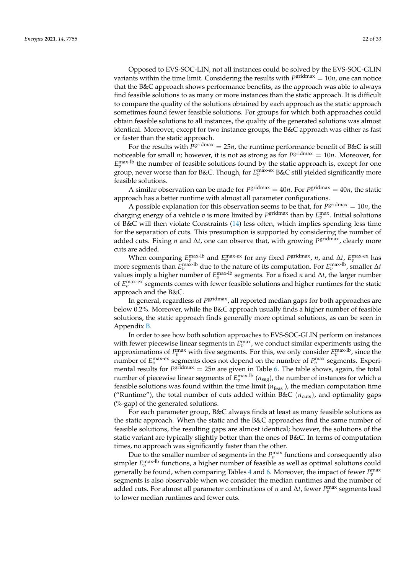Opposed to EVS-SOC-LIN, not all instances could be solved by the EVS-SOC-GLIN variants within the time limit. Considering the results with  $P^{\text{gridmax}} = 10n$ , one can notice that the B&C approach shows performance benefits, as the approach was able to always find feasible solutions to as many or more instances than the static approach. It is difficult to compare the quality of the solutions obtained by each approach as the static approach sometimes found fewer feasible solutions. For groups for which both approaches could obtain feasible solutions to all instances, the quality of the generated solutions was almost identical. Moreover, except for two instance groups, the B&C approach was either as fast or faster than the static approach.

For the results with  $P^{\text{gridmax}} = 25n$ , the runtime performance benefit of B&C is still noticeable for small *n*; however, it is not as strong as for *P* gridmax = 10*n*. Moreover, for  $E_v^{\text{max-lb}}$  the number of feasible solutions found by the static approach is, except for one group, never worse than for B&C. Though, for  $E_v^{\text{max-ex}}$  B&C still yielded significantly more feasible solutions.

A similar observation can be made for  $P^{\text{gridmax}} = 40n$ . For  $P^{\text{gridmax}} = 40n$ , the static approach has a better runtime with almost all parameter configurations.

A possible explanation for this observation seems to be that, for  $P<sup>gridmax</sup> = 10n$ , the charging energy of a vehicle  $v$  is more limited by  $P^{\text{gridmax}}$  than by  $E^{\text{max}}_v$ . Initial solutions of B&C will then violate Constraints (14) less often, which implies spending less time for the separation of cuts. This presumption is supported by considering the number of added cuts. Fixing *n* and ∆*t*, one can observe that, with growing *P* gridmax, clearly more cuts are added.

When comparing  $E_v^{\text{max-lb}}$  and  $E_v^{\text{max-ex}}$  for any fixed  $P^{\text{gridmax}}$ , *n*, and  $\Delta t$ ,  $E_v^{\text{max-ex}}$  has more segments than  $E_v^{\text{max-lb}}$  due to the nature of its computation. For  $E_v^{\text{max-lb}}$ , smaller  $\Delta t$ values imply a higher number of  $E_v^{\text{max-lb}}$  segments. For a fixed *n* and  $\Delta t$ , the larger number of  $E_v^{\text{max-ex}}$  segments comes with fewer feasible solutions and higher runtimes for the static approach and the B&C.

In general*,* regardless of  $P^{\rm gridmax}_{s}$ , all reported median gaps for both approaches are below 0.2%. Moreover, while the B&C approach usually finds a higher number of feasible solutions, the static approach finds generally more optimal solutions, as can be seen in Appendix B.

In order to see how both solution approaches to EVS-SOC-GLIN perform on instances with fewer piecewise linear segments in  $E_v^{\text{max}}$ , we conduct similar experiments using the approximations of  $P_v^{\max}$  with five segments. For this, we only consider  $E_v^{\max-lb}$ , since the number of  $E_v^{\text{max-ex}}$  segments does not depend on the number of  $P_v^{\text{max}}$  segments. Experimental results for *P*<sup>gridmax</sup> = 25*n* are given in Table 6. The table shows, again, the total number of piecewise linear segments of  $E_v^{\text{max-lb}}$  ( $n_\text{seg}$ ), the number of instances for which a feasible solutions was found within the time limit ( $n_{\text{feas}}$ ), the median computation time ("Runtime"), the total number of cuts added within B&C  $(n_{\text{cuts}})$ , and optimality gaps (%-gap) of the generated solutions.

For each parameter group, B&C always finds at least as many feasible solutions as the static approach. When the static and the B&C approaches find the same number of feasible solutions, the resulting gaps are almost identical; however, the solutions of the static variant are typically slightly better than the ones of B&C. In terms of computation times, no approach was significantly faster than the other.

Due to the smaller number of segments in the  $P_v^{\text{max}}$  functions and consequently also simpler  $E_v^{\text{max-lb}}$  functions, a higher number of feasible as well as optimal solutions could generally be found, when comparing Tables 4 and 6. Moreover, the impact of fewer  $P_v^{\text{max}}$ segments is also observable when we consider the median runtimes and the number of added cuts. For almost all parameter combinations of *n* and  $\Delta t$ , fewer  $P_v^{\max}$  segments lead to lower median runtimes and fewer cuts.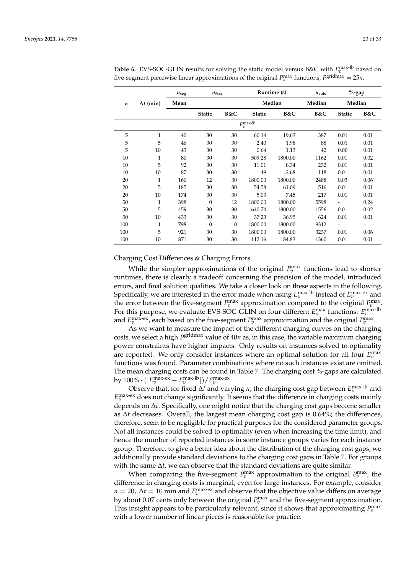|                  |                  | $n_{\text{seg}}$<br>$n_{\text{feas}}$ |               |                |                       | Runtime (s) | $n_{\text{cuts}}$ | $\%$ -gap     |      |
|------------------|------------------|---------------------------------------|---------------|----------------|-----------------------|-------------|-------------------|---------------|------|
| $\boldsymbol{n}$ | $\Delta t$ (min) | Mean                                  |               |                |                       | Median      | Median            | Median        |      |
|                  |                  |                                       | <b>Static</b> | B&C            | <b>Static</b>         | B&C         | B&C               | <b>Static</b> | B&C  |
|                  |                  |                                       |               |                | $E_v^{\text{max-lb}}$ |             |                   |               |      |
| 5                | 1                | 40                                    | 30            | 30             | 60.14                 | 19.63       | 387               | 0.01          | 0.01 |
| 5                | 5                | 46                                    | 30            | 30             | 2.40                  | 1.98        | 88                | 0.01          | 0.01 |
| 5                | 10               | 43                                    | 30            | 30             | 0.64                  | 1.13        | 42                | 0.00          | 0.01 |
| 10               | $\mathbf{1}$     | 80                                    | 30            | 30             | 509.28                | 1800.00     | 1162              | 0.01          | 0.02 |
| 10               | 5                | 92                                    | 30            | 30             | 11.01                 | 8.34        | 232               | 0.01          | 0.01 |
| 10               | 10               | 87                                    | 30            | 30             | 1.49                  | 2.68        | 118               | 0.01          | 0.01 |
| 20               | 1                | 160                                   | 12            | 30             | 1800.00               | 1800.00     | 2488              | 0.03          | 0.06 |
| 20               | 5                | 185                                   | 30            | 30             | 54.58                 | 61.09       | 516               | 0.01          | 0.01 |
| 20               | 10               | 174                                   | 30            | 30             | 5.03                  | 7.45        | 217               | 0.01          | 0.01 |
| 50               | $\mathbf{1}$     | 398                                   | $\theta$      | 12             | 1800.00               | 1800.00     | 5598              | -             | 0.24 |
| 50               | 5                | 459                                   | 30            | 30             | 640.74                | 1800.00     | 1556              | 0.01          | 0.02 |
| 50               | 10               | 433                                   | 30            | 30             | 37.23                 | 36.95       | 624               | 0.01          | 0.01 |
| 100              | 1                | 798                                   | $\Omega$      | $\overline{0}$ | 1800.00               | 1800.00     | 9312              |               |      |
| 100              | 5                | 921                                   | 30            | 30             | 1800.00               | 1800.00     | 3237              | 0.01          | 0.06 |
| 100              | 10               | 871                                   | 30            | 30             | 112.16                | 84.83       | 1360              | 0.01          | 0.01 |

**Table 6.** EVS-SOC-GLIN results for solving the static model versus B&C with  $E_v^{\text{max-lb}}$  based on five-segment piecewise linear approximations of the original  $P_v^{\text{max}}$  functions,  $P_s^{\text{gridmax}} = 25n$ .

Charging Cost Differences & Charging Errors

While the simpler approximations of the original  $P_v^{\text{max}}$  functions lead to shorter runtimes, there is clearly a tradeoff concerning the precision of the model, introduced errors, and final solution qualities. We take a closer look on these aspects in the following. Specifically, we are interested in the error made when using  $E_v^{\text{max-lb}}$  instead of  $E_v^{\text{max-ex}}$  and the error between the five-segment  $P_v^{\text{max}}$  approximation compared to the original  $P_v^{\text{max}}$ . For this purpose, we evaluate EVS-SOC-GLIN on four different  $E_v^{\text{max}}$  functions:  $E_v^{\text{max-lb}}$ and  $E_v^{\text{max-ex}}$ , each based on the five-segment  $P_v^{\text{max}}$  approximation and the original  $P_v^{\text{max}}$ .

As we want to measure the impact of the different charging curves on the charging costs, we select a high *P* gridmax value of 40*n* as, in this case, the variable maximum charging power constraints have higher impacts. Only results on instances solved to optimality are reported. We only consider instances where an optimal solution for all four  $E_v^{\text{max}}$ functions was found. Parameter combinations where no such instances exist are omitted. The mean charging costs can be found in Table 7. The charging cost %-gaps are calculated by  $100\% \cdot (|E_v^{\text{max-ex}} - E_v^{\text{max-lb}}|) / E_v^{\text{max-ex}}.$ 

Observe that, for fixed ∆*t* and varying *n*, the charging cost gap between  $E_v^{\text{max-lb}}$  and  $E_v^{\text{max-ex}}$  does not change significantly. It seems that the difference in charging costs mainly depends on ∆*t*. Specifically, one might notice that the charging cost gaps become smaller as ∆*t* decreases. Overall, the largest mean charging cost gap is 0.64%; the differences, therefore, seem to be negligible for practical purposes for the considered parameter groups. Not all instances could be solved to optimality (even when increasing the time limit), and hence the number of reported instances in some instance groups varies for each instance group. Therefore, to give a better idea about the distribution of the charging cost gaps, we additionally provide standard deviations to the charging cost gaps in Table 7. For groups with the same ∆*t*, we can observe that the standard deviations are quite similar.

When comparing the five-segment  $P_v^{\text{max}}$  approximation to the original  $P_v^{\text{max}}$ , the difference in charging costs is marginal, even for large instances. For example, consider  $n = 20$ ,  $\Delta t = 10$  min and  $E_v^{\text{max-ex}}$  and observe that the objective value differs on average by about 0.07 cents only between the original  $P_v^{\text{max}}$  and the five-segment approximation. This insight appears to be particularly relevant, since it shows that approximating  $P_v^{\text{max}}$ with a lower number of linear pieces is reasonable for practice.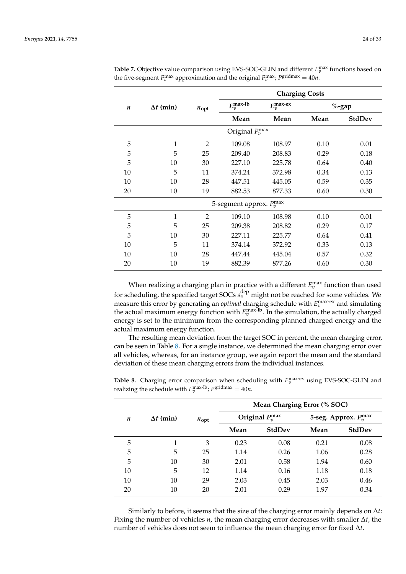|    |                  |                |                                      | <b>Charging Costs</b> |      |               |
|----|------------------|----------------|--------------------------------------|-----------------------|------|---------------|
| n  | $\Delta t$ (min) | $n_{\rm opt}$  | $E_v^{\text{max-lb}}$                | $E_v^{\text{max-ex}}$ |      | $%$ -gap      |
|    |                  |                | Mean                                 | Mean                  | Mean | <b>StdDev</b> |
|    |                  |                | Original $P_n^{\max}$                |                       |      |               |
| 5  | 1                | $\overline{2}$ | 109.08                               | 108.97                | 0.10 | 0.01          |
| 5  | 5                | 25             | 209.40                               | 208.83                | 0.29 | 0.18          |
| 5  | 10               | 30             | 227.10                               | 225.78                | 0.64 | 0.40          |
| 10 | 5                | 11             | 374.24                               | 372.98                | 0.34 | 0.13          |
| 10 | 10               | 28             | 447.51                               | 445.05                | 0.59 | 0.35          |
| 20 | 10               | 19             | 882.53                               | 877.33                | 0.60 | 0.30          |
|    |                  |                | 5-segment approx. $P_v^{\text{max}}$ |                       |      |               |
| 5  | 1                | $\overline{2}$ | 109.10                               | 108.98                | 0.10 | 0.01          |
| 5  | 5                | 25             | 209.38                               | 208.82                | 0.29 | 0.17          |
| 5  | 10               | 30             | 227.11                               | 225.77                | 0.64 | 0.41          |
| 10 | 5                | 11             | 374.14                               | 372.92                | 0.33 | 0.13          |
| 10 | 10               | 28             | 447.44                               | 445.04                | 0.57 | 0.32          |
| 20 | 10               | 19             | 882.39                               | 877.26                | 0.60 | 0.30          |

Table 7. Objective value comparison using EVS-SOC-GLIN and different  $E_v^{\text{max}}$  functions based on the five-segment  $P_v^{\text{max}}$  approximation and the original  $P_v^{\text{max}}$ ;  $P_s^{\text{gridmax}} = 40n$ .

When realizing a charging plan in practice with a different  $E_v^{\text{max}}$  function than used for scheduling, the specified target SOCs  $s_v^{\text{dep}}$  might not be reached for some vehicles. We measure this error by generating an *optimal* charging schedule with  $E_v^{\text{max-ex}}$  and simulating the actual maximum energy function with  $E_v^{\text{max-lb}}$ . In the simulation, the actually charged energy is set to the minimum from the corresponding planned charged energy and the actual maximum energy function.

The resulting mean deviation from the target SOC in percent, the mean charging error, can be seen in Table 8. For a single instance, we determined the mean charging error over all vehicles, whereas, for an instance group, we again report the mean and the standard deviation of these mean charging errors from the individual instances.

|                  |                  |                  | Mean Charging Error (% SOC) |                       |                             |               |  |  |  |  |  |
|------------------|------------------|------------------|-----------------------------|-----------------------|-----------------------------|---------------|--|--|--|--|--|
| $\boldsymbol{n}$ | $\Delta t$ (min) | $n_{\text{opt}}$ |                             | Original $P_n^{\max}$ | 5-seg. Approx. $P_n^{\max}$ |               |  |  |  |  |  |
|                  |                  |                  | Mean                        | <b>StdDev</b>         | Mean                        | <b>StdDev</b> |  |  |  |  |  |
| 5                | 1                | 3                | 0.23                        | 0.08                  | 0.21                        | 0.08          |  |  |  |  |  |
| 5                | 5                | 25               | 1.14                        | 0.26                  | 1.06                        | 0.28          |  |  |  |  |  |
| 5                | 10               | 30               | 2.01                        | 0.58                  | 1.94                        | 0.60          |  |  |  |  |  |
| 10               | 5                | 12               | 1.14                        | 0.16                  | 1.18                        | 0.18          |  |  |  |  |  |
| 10               | 10               | 29               | 2.03                        | 0.45                  | 2.03                        | 0.46          |  |  |  |  |  |
| 20               | 10               | 20               | 2.01                        | 0.29                  | 1.97                        | 0.34          |  |  |  |  |  |

**Table 8.** Charging error comparison when scheduling with  $E_v^{\text{max-ex}}$  using EVS-SOC-GLIN and realizing the schedule with  $E_v^{\text{max-lb}}$ ;  $P_s^{\text{gridmax}} = 40n$ .

Similarly to before, it seems that the size of the charging error mainly depends on ∆*t*: Fixing the number of vehicles *n*, the mean charging error decreases with smaller ∆*t*, the number of vehicles does not seem to influence the mean charging error for fixed ∆*t*.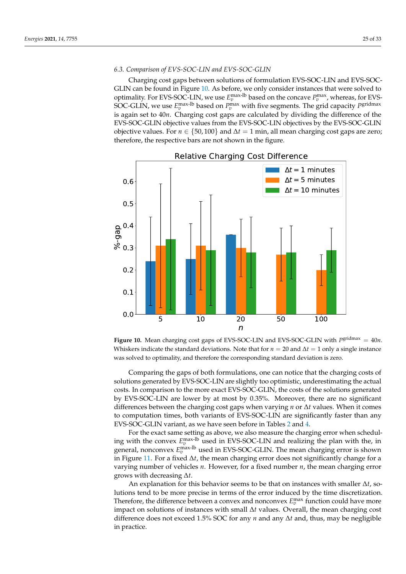# *6.3. Comparison of EVS-SOC-LIN and EVS-SOC-GLIN*

Charging cost gaps between solutions of formulation EVS-SOC-LIN and EVS-SOC-GLIN can be found in Figure 10. As before, we only consider instances that were solved to optimality. For EVS-SOC-LIN, we use  $E_v^{\text{max-lb}}$  based on the concave  $P_v^{\text{max}}$ , whereas, for EVS-SOC-GLIN, we use  $E_v^{\text{max-lb}}$  based on  $P_v^{\text{max}}$  with five segments. The grid capacity  $P^{\text{gridmax}}$ is again set to 40*n*. Charging cost gaps are calculated by dividing the difference of the EVS-SOC-GLIN objective values from the EVS-SOC-LIN objectives by the EVS-SOC-GLIN objective values. For  $n \in \{50, 100\}$  and  $\Delta t = 1$  min, all mean charging cost gaps are zero; therefore, the respective bars are not shown in the figure.



Figure 10. Mean charging cost gaps of EVS-SOC-LIN and EVS-SOC-GLIN with  $P^{\text{gridmax}} = 40n$ . Whiskers indicate the standard deviations. Note that for  $n = 20$  and  $\Delta t = 1$  only a single instance was solved to optimality, and therefore the corresponding standard deviation is zero.

Comparing the gaps of both formulations, one can notice that the charging costs of solutions generated by EVS-SOC-LIN are slightly too optimistic, underestimating the actual costs. In comparison to the more exact EVS-SOC-GLIN, the costs of the solutions generated by EVS-SOC-LIN are lower by at most by 0.35%. Moreover, there are no significant differences between the charging cost gaps when varying *n* or ∆*t* values. When it comes to computation times, both variants of EVS-SOC-LIN are significantly faster than any EVS-SOC-GLIN variant, as we have seen before in Tables 2 and 4.

For the exact same setting as above, we also measure the charging error when scheduling with the convex  $E_v^{\text{max-lb}}$  used in EVS-SOC-LIN and realizing the plan with the, in general, nonconvex  $E_v^{\text{max-lb}}$  used in EVS-SOC-GLIN. The mean charging error is shown in Figure 11. For a fixed ∆*t*, the mean charging error does not significantly change for a varying number of vehicles *n*. However, for a fixed number *n*, the mean charging error grows with decreasing ∆*t*.

An explanation for this behavior seems to be that on instances with smaller ∆*t*, solutions tend to be more precise in terms of the error induced by the time discretization. Therefore, the difference between a convex and nonconvex  $E_v^{\text{max}}$  function could have more impact on solutions of instances with small ∆*t* values. Overall, the mean charging cost difference does not exceed 1.5% SOC for any *n* and any ∆*t* and, thus, may be negligible in practice.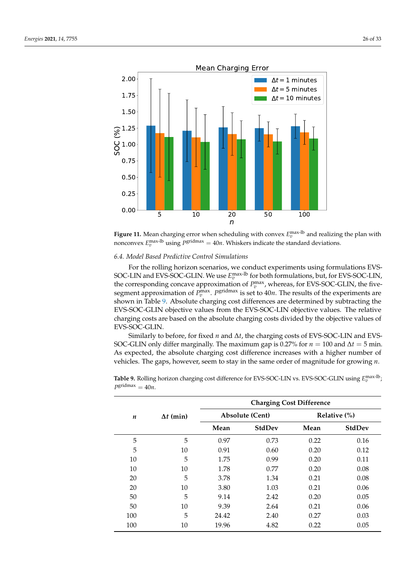



# *6.4. Model Based Predictive Control Simulations*

For the rolling horizon scenarios, we conduct experiments using formulations EVS-SOC-LIN and EVS-SOC-GLIN. We use  $E_v^{\text{max-lb}}$  for both formulations, but, for EVS-SOC-LIN, the corresponding concave approximation of  $P_v^{\text{max}}$ , whereas, for EVS-SOC-GLIN, the fivesegment approximation of  $P_v^{\text{max}}$ .  $P_s^{\text{gridmax}}$  is set to  $40n$ . The results of the experiments are shown in Table 9. Absolute charging cost differences are determined by subtracting the EVS-SOC-GLIN objective values from the EVS-SOC-LIN objective values. The relative charging costs are based on the absolute charging costs divided by the objective values of EVS-SOC-GLIN.

Similarly to before, for fixed *n* and ∆*t*, the charging costs of EVS-SOC-LIN and EVS-SOC-GLIN only differ marginally. The maximum gap is 0.27% for  $n = 100$  and  $\Delta t = 5$  min. As expected, the absolute charging cost difference increases with a higher number of vehicles. The gaps, however, seem to stay in the same order of magnitude for growing *n*.

|                  |                  |       |                        | <b>Charging Cost Difference</b> |                 |
|------------------|------------------|-------|------------------------|---------------------------------|-----------------|
| $\boldsymbol{n}$ | $\Delta t$ (min) |       | <b>Absolute (Cent)</b> |                                 | Relative $(\%)$ |
|                  |                  | Mean  | <b>StdDev</b>          | Mean                            | <b>StdDev</b>   |
| 5                | 5                | 0.97  | 0.73                   | 0.22                            | 0.16            |
| 5                | 10               | 0.91  | 0.60                   | 0.20                            | 0.12            |
| 10               | 5                | 1.75  | 0.99                   | 0.20                            | 0.11            |
| 10               | 10               | 1.78  | 0.77                   | 0.20                            | 0.08            |
| 20               | 5                | 3.78  | 1.34                   | 0.21                            | 0.08            |
| 20               | 10               | 3.80  | 1.03                   | 0.21                            | 0.06            |
| 50               | 5                | 9.14  | 2.42                   | 0.20                            | 0.05            |
| 50               | 10               | 9.39  | 2.64                   | 0.21                            | 0.06            |
| 100              | 5                | 24.42 | 2.40                   | 0.27                            | 0.03            |
| 100              | 10               | 19.96 | 4.82                   | 0.22                            | 0.05            |

Table 9. Rolling horizon charging cost difference for EVS-SOC-LIN vs. EVS-SOC-GLIN using  $E_v^{\text{max-lb}}$  $P^{\text{gridmax}} = 40n$ .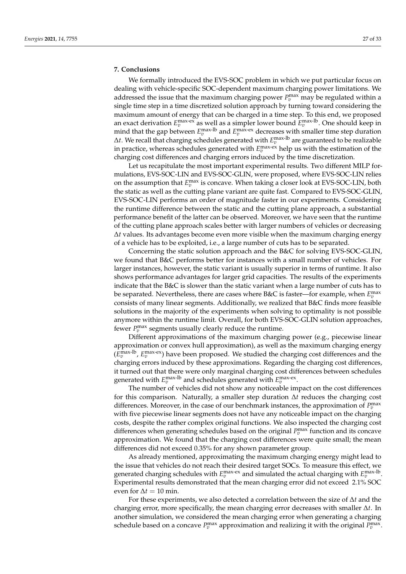# **7. Conclusions**

We formally introduced the EVS-SOC problem in which we put particular focus on dealing with vehicle-specific SOC-dependent maximum charging power limitations. We addressed the issue that the maximum charging power  $P_v^{\text{max}}$  may be regulated within a single time step in a time discretized solution approach by turning toward considering the maximum amount of energy that can be charged in a time step. To this end, we proposed an exact derivation  $E_v^{\text{max-ex}}$  as well as a simpler lower bound  $E_v^{\text{max-lb}}$ . One should keep in mind that the gap between  $E_v^{\text{max-lb}}$  and  $E_v^{\text{max-ex}}$  decreases with smaller time step duration ∆*t*. We recall that charging schedules generated with  $E_v^{\text{max-lb}}$  are guaranteed to be realizable in practice, whereas schedules generated with  $E_v^{\text{max-ex}}$  help us with the estimation of the charging cost differences and charging errors induced by the time discretization.

Let us recapitulate the most important experimental results. Two different MILP formulations, EVS-SOC-LIN and EVS-SOC-GLIN, were proposed, where EVS-SOC-LIN relies on the assumption that  $E_v^{\text{max}}$  is concave. When taking a closer look at EVS-SOC-LIN, both the static as well as the cutting plane variant are quite fast. Compared to EVS-SOC-GLIN, EVS-SOC-LIN performs an order of magnitude faster in our experiments. Considering the runtime difference between the static and the cutting plane approach, a substantial performance benefit of the latter can be observed. Moreover, we have seen that the runtime of the cutting plane approach scales better with larger numbers of vehicles or decreasing ∆*t* values. Its advantages become even more visible when the maximum charging energy of a vehicle has to be exploited, i.e., a large number of cuts has to be separated.

Concerning the static solution approach and the B&C for solving EVS-SOC-GLIN, we found that B&C performs better for instances with a small number of vehicles. For larger instances, however, the static variant is usually superior in terms of runtime. It also shows performance advantages for larger grid capacities. The results of the experiments indicate that the B&C is slower than the static variant when a large number of cuts has to be separated. Nevertheless, there are cases where B&C is faster—for example, when  $E_v^{\text{max}}$ consists of many linear segments. Additionally, we realized that B&C finds more feasible solutions in the majority of the experiments when solving to optimality is not possible anymore within the runtime limit. Overall, for both EVS-SOC-GLIN solution approaches, fewer  $P_v^{\text{max}}$  segments usually clearly reduce the runtime.

Different approximations of the maximum charging power (e.g., piecewise linear approximation or convex hull approximation), as well as the maximum charging energy  $(E_v^{\text{max-lb}})$ ,  $E_v^{\text{max-ex}}$ ) have been proposed. We studied the charging cost differences and the charging errors induced by these approximations. Regarding the charging cost differences, it turned out that there were only marginal charging cost differences between schedules generated with  $E_v^{\text{max-lb}}$  and schedules generated with  $E_v^{\text{max-ex}}$ .

The number of vehicles did not show any noticeable impact on the cost differences for this comparison. Naturally, a smaller step duration ∆*t* reduces the charging cost differences. Moreover, in the case of our benchmark instances, the approximation of  $P_v^{\text{max}}$ with five piecewise linear segments does not have any noticeable impact on the charging costs, despite the rather complex original functions. We also inspected the charging cost differences when generating schedules based on the original  $P_v^{\text{max}}$  function and its concave approximation. We found that the charging cost differences were quite small; the mean differences did not exceed 0.35% for any shown parameter group.

As already mentioned, approximating the maximum charging energy might lead to the issue that vehicles do not reach their desired target SOCs. To measure this effect, we generated charging schedules with  $E_v^{\text{max-ex}}$  and simulated the actual charging with  $E_v^{\text{max-lb}}$ . Experimental results demonstrated that the mean charging error did not exceed 2.1% SOC even for  $\Delta t = 10$  min.

For these experiments, we also detected a correlation between the size of ∆*t* and the charging error, more specifically, the mean charging error decreases with smaller ∆*t*. In another simulation, we considered the mean charging error when generating a charging schedule based on a concave  $P_v^{\text{max}}$  approximation and realizing it with the original  $P_v^{\text{max}}$ .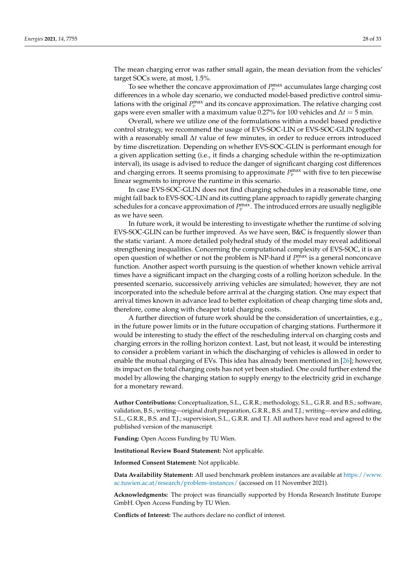The mean charging error was rather small again, the mean deviation from the vehicles' target SOCs were, at most, 1.5%.

To see whether the concave approximation of  $P_v^{\text{max}}$  accumulates large charging cost differences in a whole day scenario, we conducted model-based predictive control simulations with the original  $P_v^{\text{max}}$  and its concave approximation. The relative charging cost gaps were even smaller with a maximum value 0.27% for 100 vehicles and  $\Delta t = 5$  min.

Overall, where we utilize one of the formulations within a model based predictive control strategy, we recommend the usage of EVS-SOC-LIN or EVS-SOC-GLIN together with a reasonably small ∆*t* value of few minutes, in order to reduce errors introduced by time discretization. Depending on whether EVS-SOC-GLIN is performant enough for a given application setting (i.e., it finds a charging schedule within the re-optimization interval), its usage is advised to reduce the danger of significant charging cost differences and charging errors. It seems promising to approximate  $P_v^{\text{max}}$  with five to ten piecewise linear segments to improve the runtime in this scenario.

In case EVS-SOC-GLIN does not find charging schedules in a reasonable time, one might fall back to EVS-SOC-LIN and its cutting plane approach to rapidly generate charging schedules for a concave approximation of  $P_v^{\text{max}}$ . The introduced errors are usually negligible as we have seen.

In future work, it would be interesting to investigate whether the runtime of solving EVS-SOC-GLIN can be further improved. As we have seen, B&C is frequently slower than the static variant. A more detailed polyhedral study of the model may reveal additional strengthening inequalities. Concerning the computational complexity of EVS-SOC, it is an open question of whether or not the problem is NP-hard if  $P_v^{\max}$  is a general nonconcave function. Another aspect worth pursuing is the question of whether known vehicle arrival times have a significant impact on the charging costs of a rolling horizon schedule. In the presented scenario, successively arriving vehicles are simulated; however, they are not incorporated into the schedule before arrival at the charging station. One may expect that arrival times known in advance lead to better exploitation of cheap charging time slots and, therefore, come along with cheaper total charging costs.

A further direction of future work should be the consideration of uncertainties, e.g., in the future power limits or in the future occupation of charging stations. Furthermore it would be interesting to study the effect of the rescheduling interval on charging costs and charging errors in the rolling horizon context. Last, but not least, it would be interesting to consider a problem variant in which the discharging of vehicles is allowed in order to enable the mutual charging of EVs. This idea has already been mentioned in [26]; however, its impact on the total charging costs has not yet been studied. One could further extend the model by allowing the charging station to supply energy to the electricity grid in exchange for a monetary reward.

**Author Contributions:** Conceptualization, S.L., G.R.R.; methodology, S.L., G.R.R. and B.S.; software, validation, B.S.; writing—original draft preparation, G.R.R., B.S. and T.J.; writing—review and editing, S.L., G.R.R., B.S. and T.J.; supervision, S.L., G.R.R. and T.J. All authors have read and agreed to the published version of the manuscript.

**Funding:** Open Access Funding by TU Wien.

**Institutional Review Board Statement:** Not applicable.

**Informed Consent Statement:** Not applicable.

**Data Availability Statement:** All used benchmark problem instances are available at [https://www.](https://www.ac.tuwien.ac.at/research/problem-instances/) [ac.tuwien.ac.at/research/problem-instances/](https://www.ac.tuwien.ac.at/research/problem-instances/) (accessed on 11 November 2021).

**Acknowledgments:** The project was financially supported by Honda Research Institute Europe GmbH. Open Access Funding by TU Wien.

**Conflicts of Interest:** The authors declare no conflict of interest.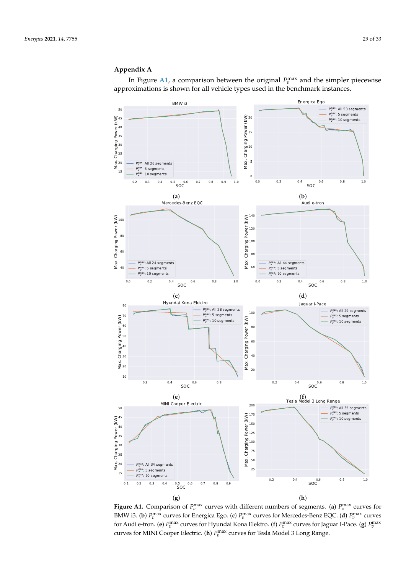# **Appendix A**

In Figure  $A1$ , a comparison between the original  $P_v^{\text{max}}$  and the simpler piecewise approximations is shown for all vehicle types used in the benchmark instances.



**Figure A1.** Comparison of  $P_v^{\text{max}}$  curves with different numbers of segments. (a)  $P_v^{\text{max}}$  curves for BMW i3. (**b**)  $P_v^{\text{max}}$  curves for Energica Ego. (**c**)  $P_v^{\text{max}}$  curves for Mercedes-Benz EQC. (**d**)  $P_v^{\text{max}}$  curves for Audi e-tron. (e)  $P_v^{\max}$  curves for Hyundai Kona Elektro. (f)  $P_v^{\max}$  curves for Jaguar I-Pace. (g)  $P_v^{\max}$ curves for MINI Cooper Electric. (**h**)  $P_v^{\max}$  curves for Tesla Model 3 Long Range.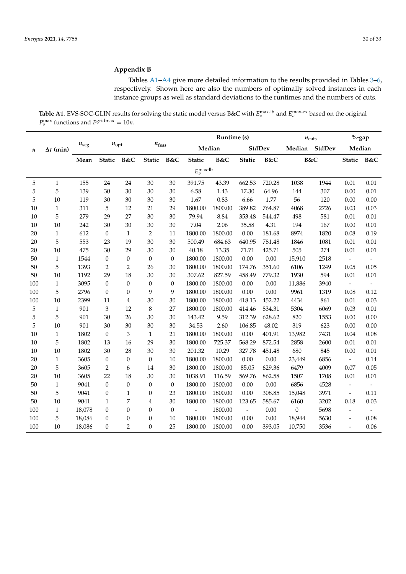# **Appendix B**

Tables A1–A4 give more detailed information to the results provided in Tables 3–6, respectively. Shown here are also the numbers of optimally solved instances in each instance groups as well as standard deviations to the runtimes and the numbers of cuts.

**Table A1.** EVS-SOC-GLIN results for solving the static model versus B&C with  $E_v^{\text{max-lb}}$  and  $E_v^{\text{max-ex}}$  based on the original  $P_v^{\text{max}}$  functions and  $P_s^{\text{gridmax}} = 10n$ .

|                  |                  |                |                  |                  |                  |                  | Runtime (s)        |         |               | $n_{\rm cuts}$ |                  | $%$ -gap |                          |                          |
|------------------|------------------|----------------|------------------|------------------|------------------|------------------|--------------------|---------|---------------|----------------|------------------|----------|--------------------------|--------------------------|
| $\boldsymbol{n}$ | $\Delta t$ (min) | $n_{\rm{seg}}$ | $n_{\text{opt}}$ |                  | $n_{\rm feas}$   |                  | Median             |         |               | StdDev         | Median           | StdDev   | Median                   |                          |
|                  |                  | Mean           | Static B&C       |                  | Static           | B&C              | <b>Static</b>      | B&C     | <b>Static</b> | B&C            | B&C              |          | Static                   | B&C                      |
|                  |                  |                |                  |                  |                  |                  | $E_v^{\rm max-lb}$ |         |               |                |                  |          |                          |                          |
| 5                | $\mathbf{1}$     | 155            | 24               | 24               | 30               | 30               | 391.75             | 43.39   | 662.53        | 720.28         | 1038             | 1944     | 0.01                     | 0.01                     |
| 5                | $\mathbf 5$      | 139            | 30               | 30               | $30\,$           | 30               | 6.58               | 1.43    | 17.30         | 64.96          | 144              | 307      | 0.00                     | $0.01\,$                 |
| 5                | 10               | 119            | 30               | 30               | $30\,$           | $30\,$           | 1.67               | 0.83    | 6.66          | 1.77           | 56               | 120      | 0.00                     | 0.00                     |
| 10               | $\mathbf{1}$     | 311            | 5                | 12               | 21               | 29               | 1800.00            | 1800.00 | 389.82        | 764.87         | 4068             | 2726     | 0.03                     | 0.03                     |
| 10               | 5                | 279            | 29               | 27               | 30               | 30               | 79.94              | 8.84    | 353.48        | 544.47         | 498              | 581      | 0.01                     | 0.01                     |
| 10               | 10               | 242            | 30               | 30               | 30               | 30               | 7.04               | 2.06    | 35.58         | 4.31           | 194              | 167      | 0.00                     | 0.01                     |
| 20               | $\mathbf{1}$     | 612            | $\theta$         | $\mathbf{1}$     | $\boldsymbol{2}$ | 11               | 1800.00            | 1800.00 | 0.00          | 181.68         | 8974             | 1820     | 0.08                     | 0.19                     |
| 20               | 5                | 553            | 23               | 19               | 30               | 30               | 500.49             | 684.63  | 640.95        | 781.48         | 1846             | 1081     | 0.01                     | 0.01                     |
| 20               | $10\,$           | 475            | 30               | 29               | 30               | 30               | 40.18              | 13.35   | 71.71         | 425.71         | 505              | 274      | 0.01                     | 0.01                     |
| 50               | $\mathbf{1}$     | 1544           | $\mathbf{0}$     | $\mathbf{0}$     | $\boldsymbol{0}$ | $\mathbf{0}$     | 1800.00            | 1800.00 | 0.00          | 0.00           | 15,910           | 2518     | $\Box$                   | $\overline{\phantom{a}}$ |
| 50               | 5                | 1393           | 2                | 2                | 26               | 30               | 1800.00            | 1800.00 | 174.76        | 351.60         | 6106             | 1249     | 0.05                     | 0.05                     |
| 50               | 10               | 1192           | 29               | 18               | 30               | 30               | 307.62             | 827.59  | 458.49        | 779.32         | 1930             | 594      | 0.01                     | 0.01                     |
| 100              | $\mathbf{1}$     | 3095           | $\theta$         | $\boldsymbol{0}$ | $\boldsymbol{0}$ | $\mathbf{0}$     | 1800.00            | 1800.00 | $0.00\,$      | 0.00           | 11,886           | 3940     | $\overline{\phantom{a}}$ | $\frac{1}{2}$            |
| 100              | 5                | 2796           | $\mathbf{0}$     | $\mathbf{0}$     | 9                | 9                | 1800.00            | 1800.00 | 0.00          | 0.00           | 9961             | 1319     | 0.08                     | 0.12                     |
| 100              | 10               | 2399           | 11               | $\overline{4}$   | 30               | 30               | 1800.00            | 1800.00 | 418.13        | 452.22         | 4434             | 861      | 0.01                     | 0.03                     |
| 5                | $\mathbf{1}$     | 901            | 3                | 12               | $\,$ 8 $\,$      | 27               | 1800.00            | 1800.00 | 414.46        | 834.31         | 5304             | 6069     | 0.03                     | 0.01                     |
| 5                | 5                | 901            | 30               | 26               | 30               | 30               | 143.42             | 9.59    | 312.39        | 628.62         | 820              | 1553     | 0.00                     | 0.00                     |
| 5                | 10               | 901            | 30               | 30               | 30               | 30               | 34.53              | 2.60    | 106.85        | 48.02          | 319              | 623      | 0.00                     | 0.00                     |
| 10               | $\mathbf{1}$     | 1802           | $\mathbf{0}$     | 3                | $\mathbf{1}$     | 21               | 1800.00            | 1800.00 | 0.00          | 401.91         | 13,982           | 7431     | 0.04                     | 0.08                     |
| 10               | 5                | 1802           | 13               | 16               | 29               | 30               | 1800.00            | 725.37  | 568.29        | 872.54         | 2858             | 2600     | 0.01                     | 0.01                     |
| 10               | $10\,$           | 1802           | 30               | 28               | 30               | 30               | 201.32             | 10.29   | 327.78        | 451.48         | 680              | 845      | 0.00                     | $0.01\,$                 |
| 20               | $\mathbf{1}$     | 3605           | $\boldsymbol{0}$ | $\boldsymbol{0}$ | $\boldsymbol{0}$ | 10               | 1800.00            | 1800.00 | $0.00\,$      | 0.00           | 23,449           | 6856     | $\blacksquare$           | 0.14                     |
| 20               | 5                | 3605           | 2                | 6                | 14               | 30               | 1800.00            | 1800.00 | 85.05         | 629.36         | 6479             | 4009     | 0.07                     | 0.05                     |
| 20               | 10               | 3605           | 22               | 18               | 30               | 30               | 1038.91            | 116.59  | 569.76        | 862.58         | 1507             | 1708     | 0.01                     | 0.01                     |
| 50               | $\mathbf{1}$     | 9041           | $\overline{0}$   | $\mathbf{0}$     | $\theta$         | $\mathbf{0}$     | 1800.00            | 1800.00 | 0.00          | 0.00           | 6856             | 4528     | $\frac{1}{2}$            |                          |
| 50               | $\mathbf 5$      | 9041           | $\boldsymbol{0}$ | $\mathbf{1}$     | $\boldsymbol{0}$ | 23               | 1800.00            | 1800.00 | 0.00          | 308.85         | 15,048           | 3971     | $\frac{1}{2}$            | 0.11                     |
| 50               | 10               | 9041           | 1                | 7                | $\overline{4}$   | 30               | 1800.00            | 1800.00 | 123.65        | 585.67         | 6160             | 3202     | 0.18                     | 0.03                     |
| 100              | $\mathbf{1}$     | 18,078         | $\boldsymbol{0}$ | $\boldsymbol{0}$ | $\boldsymbol{0}$ | $\boldsymbol{0}$ | $\overline{a}$     | 1800.00 | $\frac{1}{2}$ | 0.00           | $\boldsymbol{0}$ | 5698     |                          |                          |
| 100              | 5                | 18,086         | $\theta$         | 0                | $\boldsymbol{0}$ | 10               | 1800.00            | 1800.00 | 0.00          | 0.00           | 18,944           | 5630     |                          | 0.08                     |
| 100              | $10\,$           | 18,086         | $\mathbf{0}$     | $\overline{2}$   | $\mathbf{0}$     | 25               | 1800.00            | 1800.00 | 0.00          | 393.05         | 10,750           | 3536     | $\overline{a}$           | 0.06                     |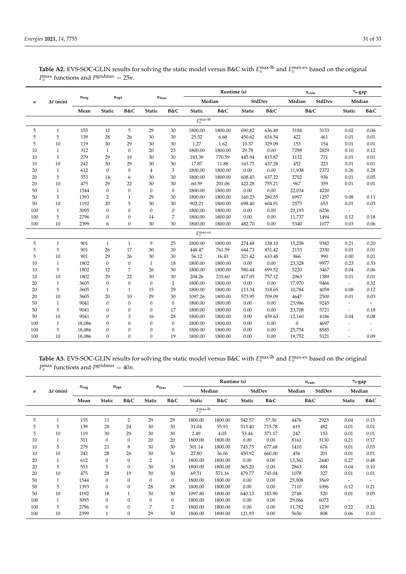|                  |                  |               |                  |                  |                   |                  | Runtime (s)        |         |          |        | $n_{\text{cuts}}$ |        | $\%$ -gap                |                          |
|------------------|------------------|---------------|------------------|------------------|-------------------|------------------|--------------------|---------|----------|--------|-------------------|--------|--------------------------|--------------------------|
| $\boldsymbol{n}$ | $\Delta t$ (min) | $n_{\rm seg}$ | $n_{\text{opt}}$ |                  | $n_{\text{feas}}$ |                  | Median             |         |          | StdDev | Median            | StdDev | Median                   |                          |
|                  |                  | Mean          | <b>Static</b>    | B&C              | <b>Static</b>     | B&C              | <b>Static</b>      | B&C     | Static   | B&C    | B&C               |        | Static                   | B&C                      |
|                  |                  |               |                  |                  |                   |                  | $E_v^{\rm max-lb}$ |         |          |        |                   |        |                          |                          |
| 5                | $\mathbf{1}$     | 155           | 12               | 5                | 29                | 30               | 1800.00            | 1800.00 | 690.82   | 636.49 | 3184              | 3153   | 0.02                     | 0.06                     |
| 5                | 5                | 139           | 28               | 26               | 30                | 30               | 25.52              | 6.68    | 450.62   | 616.54 | 422               | 461    | 0.01                     | 0.01                     |
| 5                | 10               | 119           | 30               | 29               | 30                | 30               | 1.27               | 1.62    | 10.37    | 329.09 | 153               | 154    | 0.01                     | 0.01                     |
| 10               | $\mathbf{1}$     | 312           | $\mathbf{1}$     | $\mathbf{0}$     | 20                | 23               | 1800.00            | 1800.00 | 29.78    | 0.00   | 7298              | 2829   | 0.10                     | 0.12                     |
| 10               | 5                | 279           | 29               | 19               | 30                | 30               | 183.39             | 770.59  | 445.94   | 815.87 | 1132              | 771    | 0.01                     | 0.01                     |
| 10               | 10               | 242           | 30               | 29               | 30                | 30               | 17.87              | 11.88   | 163.75   | 437.28 | 452               | 223    | 0.01                     | 0.01                     |
| 20               | $\mathbf{1}$     | 612           | $\boldsymbol{0}$ | $\boldsymbol{0}$ | $\overline{4}$    | $\sqrt{3}$       | 1800.00            | 1800.00 | $0.00\,$ | 0.00   | 11,938            | 2372   | 0.26                     | 0.28                     |
| 20               | 5                | 553           | 14               | 6                | 30                | 30               | 1800.00            | 1800.00 | 608.45   | 637.22 | 2702              | 936    | 0.01                     | 0.05                     |
| 20               | 10               | 475           | 29               | 22               | 30                | 30               | 60.59              | 201.06  | 422.28   | 755.21 | 967               | 359    | 0.01                     | 0.01                     |
| 50               | $\mathbf{1}$     | 1544          | $\boldsymbol{0}$ | $\mathbf{0}$     | $\boldsymbol{0}$  | $\boldsymbol{0}$ | 1800.00            | 1800.00 | $0.00\,$ | 0.00   | 22,034            | 4220   | $\sim$                   | $\tilde{\phantom{a}}$    |
| 50               | 5                | 1393          | $\overline{2}$   | $\mathbf{1}$     | 29                | 30               | 1800.00            | 1800.00 | 160.23   | 280.55 | 6997              | 1257   | 0.08                     | 0.11                     |
| 50               | 10               | 1192          | 20               | 5                | 30                | 30               | 902.21             | 1800.00 | 698.40   | 604.91 | 2575              | 653    | 0.01                     | 0.03                     |
| 100              | $\mathbf{1}$     | 3095          | $\mathbf{0}$     | $\mathbf{0}$     | $\boldsymbol{0}$  | $\mathbf{0}$     | 1800.00            | 1800.00 | 0.00     | 0.00   | 29,193            | 6236   | $\overline{\phantom{a}}$ | $\overline{\phantom{a}}$ |
| 100              | 5                | 2796          | $\mathbf{0}$     | $\mathbf{0}$     | 14                | $\boldsymbol{7}$ | 1800.00            | 1800.00 | 0.00     | 0.00   | 11,737            | 1494   | 0.12                     | 0.18                     |
| 100              | 10               | 2399          | 6                | $\mathbf{0}$     | 30                | 30               | 1800.00            | 1800.00 | 482.70   | 0.00   | 5340              | 1077   | 0.03                     | 0.06                     |
|                  |                  |               |                  |                  |                   |                  | $E_v^{\rm max-ex}$ |         |          |        |                   |        |                          |                          |
| 5                | $\mathbf{1}$     | 901           | $\mathbf{1}$     | $1\,$            | 9                 | 25               | 1800.00            | 1800.00 | 274.48   | 138.10 | 15,258            | 9382   | 0.21                     | 0.20                     |
| 5                | 5                | 901           | 26               | 17               | 30                | 30               | 448.47             | 761.59  | 644.73   | 831.42 | 2153              | 2330   | 0.01                     | 0.01                     |
| 5                | 10               | 901           | 29               | 26               | 30                | 30               | 56.12              | 16.43   | 321.42   | 610.48 | 866               | 990    | 0.00                     | 0.01                     |
| 10               | $\mathbf{1}$     | 1802          | $\boldsymbol{0}$ | $\boldsymbol{0}$ | $\mathbf{1}$      | 18               | 1800.00            | 1800.00 | 0.00     | 0.00   | 23,328            | 9977   | 0.23                     | 0.33                     |
| 10               | 5                | 1802          | 12               | 7                | 26                | 30               | 1800.00            | 1800.00 | 580.44   | 699.52 | 5220              | 3467   | 0.04                     | 0.06                     |
| 10               | 10               | 1802          | 29               | 22               | 30                | 30               | 204.26             | 233.60  | 417.05   | 757.12 | 2063              | 1389   | 0.01                     | 0.01                     |
| 20               | $\mathbf{1}$     | 3605          | $\mathbf{0}$     | $\mathbf{0}$     | $\boldsymbol{0}$  | $\overline{2}$   | 1800.00            | 1800.00 | 0.00     | 0.00   | 17,970            | 9466   |                          | 0.32                     |
| 20               | 5                | 3605          | $\mathbf{1}$     | $\mathbf{1}$     | 15                | 29               | 1800.00            | 1800.00 | 113.34   | 318.65 | 10,784            | 4058   | 0.08                     | 0.12                     |
| 20               | 10               | 3605          | 20               | 10               | 29                | 30               | 1097.26            | 1800.00 | 573.95   | 709.09 | 4647              | 2500   | 0.01                     | 0.03                     |
| 50               | $\mathbf{1}$     | 9041          | $\boldsymbol{0}$ | $\boldsymbol{0}$ | $\boldsymbol{0}$  | $\mathbf{0}$     | 1800.00            | 1800.00 | 0.00     | 0.00   | 23,986            | 9245   |                          |                          |
| 50               | $\,$ 5 $\,$      | 9041          | $\boldsymbol{0}$ | $\boldsymbol{0}$ | $\boldsymbol{0}$  | 17               | 1800.00            | 1800.00 | 0.00     | 0.00   | 23,708            | 5721   | $\tilde{\phantom{a}}$    | 0.18                     |
| 50               | 10               | 9041          | $\mathbf{0}$     | 3                | 16                | 28               | 1800.00            | 1800.00 | 0.00     | 439.63 | 12,160            | 4186   | 0.04                     | 0.08                     |
| 100              | $\mathbf{1}$     | 18,086        | $\boldsymbol{0}$ | $\mathbf{0}$     | $\boldsymbol{0}$  | $\boldsymbol{0}$ | 1800.00            | 1800.00 | 0.00     | 0.00   | $\mathbf{0}$      | 4697   | $\overline{a}$           |                          |
| 100              | 5                | 18,086        | $\mathbf{0}$     | $\mathbf{0}$     | $\boldsymbol{0}$  | $\boldsymbol{0}$ | 1800.00            | 1800.00 | 0.00     | 0.00   | 25,754            | 8585   |                          |                          |
| 100              | 10               | 18,086        | $\Omega$         | $\theta$         | $\mathbf{0}$      | 19               | 1800.00            | 1800.00 | 0.00     | 0.00   | 19,752            | 5121   |                          | 0.09                     |

**Table A2.** EVS-SOC-GLIN results for solving the static model versus B&C with  $E_v^{\text{max-lb}}$  and  $E_v^{\text{max-ex}}$  based on the original  $P_v^{\text{max}}$  functions and  $P_s^{\text{gridmax}} = 25n$ .

**Table A3.** EVS-SOC-GLIN results for solving the static model versus B&C with  $E_v^{\text{max-lb}}$  and  $E_v^{\text{max-ex}}$  based on the original  $P_v^{\text{max}}$  functions and  $P_s^{\text{gridmax}} = 40n$ .

|     |                  |               | $n_{\text{opt}}$ | $n_{\rm feas}$ |                | Runtime (s)  |                       |         |               | $n_{\text{cuts}}$ |        | $%$ -gap |               |      |
|-----|------------------|---------------|------------------|----------------|----------------|--------------|-----------------------|---------|---------------|-------------------|--------|----------|---------------|------|
| n   | $\Delta t$ (min) | $n_{\rm seg}$ |                  |                |                |              |                       | Median  |               | StdDev            | Median | StdDev   | Median        |      |
|     |                  | Mean          | <b>Static</b>    | B&C            | <b>Static</b>  | B&C          | <b>Static</b>         | B&C     | <b>Static</b> | B&C               | B&C    |          | <b>Static</b> | B&C  |
|     |                  |               |                  |                |                |              | $E_v^{\text{max-lb}}$ |         |               |                   |        |          |               |      |
| 5   | 1                | 155           | 11               | $\overline{2}$ | 29             | 29           | 1800.00               | 1800.00 | 542.57        | 57.30             | 4476   | 2923     | 0.04          | 0.15 |
| 5   | 5                | 139           | 28               | 24             | 30             | 30           | 31.04                 | 55.93   | 513.40        | 715.78            | 619    | 492      | 0.01          | 0.01 |
| 5   | 10               | 119           | 30               | 29             | 30             | 30           | 2.49                  | 4.05    | 53.44         | 371.17            | 247    | 153      | 0.01          | 0.01 |
| 10  | 1                | 311           | $\mathbf{0}$     | $\Omega$       | 20             | 20           | 1800.00               | 1800.00 | 0.00          | 0.00              | 8161   | 3130     | 0.21          | 0.17 |
| 10  | 5                | 279           | 21               | 8              | 30             | 30           | 301.14                | 1800.00 | 745.75        | 677.68            | 1410   | 676      | 0.01          | 0.03 |
| 10  | 10               | 242           | 28               | 26             | 30             | 30           | 27.80                 | 36.06   | 450.92        | 660.00            | 456    | 201      | 0.01          | 0.01 |
| 20  | 1                | 612           | $\mathbf{0}$     | $\mathbf{0}$   | $\overline{2}$ | $\mathbf{1}$ | 1800.00               | 1800.00 | 0.00          | 0.00              | 13,361 | 2440     | 0.27          | 0.48 |
| 20  | 5                | 553           | 5                | $\mathbf{0}$   | 30             | 30           | 1800.00               | 1800.00 | 365.20        | 0.00              | 2863   | 884      | 0.04          | 0.10 |
| 20  | 10               | 475           | 28               | 19             | 30             | 30           | 69.51                 | 571.16  | 479.77        | 745.04            | 1078   | 327      | 0.01          | 0.01 |
| 50  | $\mathbf{1}$     | 1544          | $\mathbf{0}$     | $\mathbf{0}$   | 0              | $\mathbf{0}$ | 1800.00               | 1800.00 | 0.00          | 0.00              | 25,908 | 3569     | ٠             | ۰    |
| 50  | 5                | 1393          | $\mathbf{0}$     | $\mathbf{0}$   | 28             | 28           | 1800.00               | 1800.00 | 0.00          | 0.00              | 7110   | 1096     | 0.12          | 0.21 |
| 50  | 10               | 1192          | 18               |                | 30             | 30           | 1097.80               | 1800.00 | 640.13        | 183.90            | 2748   | 520      | 0.01          | 0.05 |
| 100 | $\mathbf{1}$     | 3095          | $\mathbf{0}$     | $\Omega$       | $\mathbf{0}$   | $\mathbf{0}$ | 1800.00               | 1800.00 | 0.00          | 0.00              | 29,066 | 6072     | -             |      |
| 100 | 5                | 2796          | $\mathbf{0}$     | $\mathbf{0}$   | 7              | 2            | 1800.00               | 1800.00 | 0.00          | 0.00              | 11,782 | 1239     | 0.22          | 0.21 |
| 100 | 10               | 2399          |                  | 0              | 29             | 30           | 1800.00               | 1800.00 | 121.93        | 0.00              | 5650   | 808      | 0.06          | 0.10 |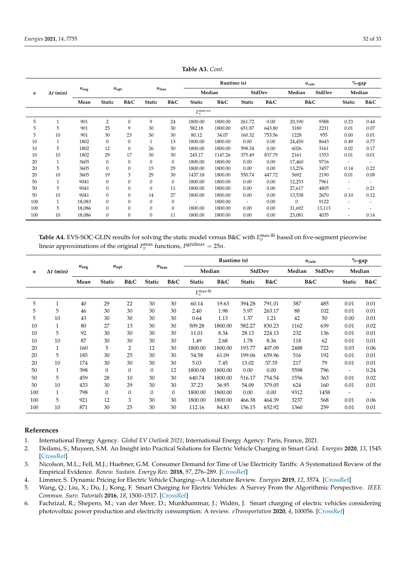| $\boldsymbol{n}$      | $\Delta t$ (min) | $n_{\text{seg}}$ | $n_{\text{opt}}$ |              | $n_{\rm feas}$   |              | Runtime (s)              |         |               |        | $n_{\text{cuts}}$ |        | $%$ -gap                 |                          |
|-----------------------|------------------|------------------|------------------|--------------|------------------|--------------|--------------------------|---------|---------------|--------|-------------------|--------|--------------------------|--------------------------|
|                       |                  |                  |                  |              |                  |              | Median                   |         | StdDev        |        | Median            | StdDev |                          | Median                   |
|                       |                  | Mean             | <b>Static</b>    | B&C          | <b>Static</b>    | B&C          | <b>Static</b>            | B&C     | B&C<br>Static |        | B&C               |        | <b>Static</b>            | B&C                      |
| $E_v^{\text{max-ex}}$ |                  |                  |                  |              |                  |              |                          |         |               |        |                   |        |                          |                          |
| 5                     | $\mathbf{1}$     | 901              | 2                | 0            | 9                | 24           | 1800.00                  | 1800.00 | 261.72        | 0.00   | 20,190            | 9588   | 0.23                     | 0.44                     |
| 5                     | 5                | 901              | 25               | 9            | 30               | 30           | 582.18                   | 1800.00 | 651.87        | 643.80 | 3180              | 2231   | 0.01                     | 0.07                     |
| 5                     | 10               | 901              | 30               | 23           | 30               | 30           | 80.12                    | 34.07   | 160.32        | 753.56 | 1228              | 955    | 0.00                     | 0.01                     |
| 10                    | $\mathbf{1}$     | 1802             | $\mathbf{0}$     | 0            | $\mathbf{1}$     | 13           | 1800.00                  | 1800.00 | 0.00          | 0.00   | 24,450            | 8643   | 0.49                     | 0.77                     |
| 10                    | 5                | 1802             | 12               | $\mathbf{0}$ | 26               | 30           | 1800.00                  | 1800.00 | 598.34        | 0.00   | 6026              | 3161   | 0.02                     | 0.17                     |
| 10                    | 10               | 1802             | 29               | 17           | 30               | 30           | 245.17                   | 1147.26 | 375.49        | 837.79 | 2161              | 1553   | 0.01                     | 0.01                     |
| 20                    | $\mathbf{1}$     | 3605             | $\mathbf{0}$     | 0            | $\mathbf{0}$     | $\mathbf{0}$ | 1800.00                  | 1800.00 | 0.00          | 0.00   | 17,460            | 9716   | $\overline{\phantom{a}}$ | $\overline{\phantom{a}}$ |
| 20                    | 5                | 3605             | $\Omega$         | $\mathbf{0}$ | 15               | 29           | 1800.00                  | 1800.00 | 0.00          | 0.00   | 13,276            | 3457   | 0.14                     | 0.22                     |
| 20                    | 10               | 3605             | 19               | 3            | 29               | 30           | 1437.18                  | 1800.00 | 550.74        | 447.72 | 5692              | 2190   | 0.01                     | 0.08                     |
| 50                    | $\mathbf{1}$     | 9041             | $\mathbf{0}$     | 0            | $\boldsymbol{0}$ | $\mathbf{0}$ | 1800.00                  | 1800.00 | 0.00          | 0.00   | 12,253            | 7961   | ٠                        | $\overline{\phantom{a}}$ |
| 50                    | 5                | 9041             | $\mathbf{0}$     | $\mathbf{0}$ | $\boldsymbol{0}$ | 11           | 1800.00                  | 1800.00 | 0.00          | 0.00   | 27,617            | 4805   | ٠                        | 0.21                     |
| 50                    | 10               | 9041             | $\mathbf{0}$     | $\mathbf{0}$ | 14               | 27           | 1800.00                  | 1800.00 | 0.00          | 0.00   | 13,538            | 2670   | 0.10                     | 0.12                     |
| 100                   | 1                | 18,083           | $\Omega$         | $\mathbf{0}$ | $\mathbf{0}$     | $\mathbf{0}$ | $\overline{\phantom{a}}$ | 1800.00 | $\sim$        | 0.00   | $\Omega$          | 9122   | ٠                        | $\overline{\phantom{a}}$ |
| 100                   | 5                | 18,086           | $\mathbf{0}$     | 0            | $\boldsymbol{0}$ | $\mathbf{0}$ | 1800.00                  | 1800.00 | 0.00          | 0.00   | 31,692            | 13,113 |                          |                          |
| 100                   | 10               | 18,086           | $\mathbf{0}$     | 0            | $\boldsymbol{0}$ | 11           | 1800.00                  | 1800.00 | 0.00          | 0.00   | 23,081            | 4035   | $\overline{\phantom{a}}$ | 0.14                     |

**Table A3.** *Cont*.

**Table A4.** EVS-SOC-GLIN results for solving the static model versus B&C with  $E_v^{\text{max-lb}}$  based on five-segment piecewise linear approximations of the original  $P_v^{\text{max}}$  functions,  $P_s^{\text{gridmax}} = 25n$ .

| n                         | $\Delta t$ (min) |               | $n_{\text{opt}}$ |                | $n_{\text{feas}}$ |          | Runtime (s)   |         |               |        | $n_{\text{cuts}}$ |        | $%$ -gap                 |      |
|---------------------------|------------------|---------------|------------------|----------------|-------------------|----------|---------------|---------|---------------|--------|-------------------|--------|--------------------------|------|
|                           |                  | $n_{\rm seg}$ |                  |                |                   |          | Median        |         | StdDev        |        | Median            | StdDev | Median                   |      |
|                           |                  | Mean          | <b>Static</b>    | B&C            | <b>Static</b>     | B&C      | <b>Static</b> | B&C     | <b>Static</b> | B&C    | B&C               |        | <b>Static</b>            | B&C  |
| $E_v^{\rm max\text{-}lb}$ |                  |               |                  |                |                   |          |               |         |               |        |                   |        |                          |      |
| 5                         | 1                | 40            | 29               | 22             | 30                | 30       | 60.14         | 19.63   | 394.28        | 791.01 | 387               | 485    | 0.01                     | 0.01 |
| 5                         | 5                | 46            | 30               | 30             | 30                | 30       | 2.40          | 1.98    | 5.97          | 263.17 | 88                | 102    | 0.01                     | 0.01 |
| 5                         | 10               | 43            | 30               | 30             | 30                | 30       | 0.64          | 1.13    | 1.37          | 1.21   | 42                | 50     | 0.00                     | 0.01 |
| 10                        | 1                | 80            | 27               | 13             | 30                | 30       | 509.28        | 1800.00 | 582.27        | 830.23 | 1162              | 639    | 0.01                     | 0.02 |
| 10                        | 5                | 92            | 30               | 30             | 30                | 30       | 11.01         | 8.34    | 28.13         | 224.13 | 232               | 136    | 0.01                     | 0.01 |
| 10                        | 10               | 87            | 30               | 30             | 30                | 30       | 1.49          | 2.68    | 1.78          | 8.36   | 118               | 62     | 0.01                     | 0.01 |
| 20                        | $\mathbf{1}$     | 160           | 5                | $\overline{2}$ | 12                | 30       | 1800.00       | 1800.00 | 193.77        | 407.09 | 2488              | 722    | 0.03                     | 0.06 |
| 20                        | 5                | 185           | 30               | 25             | 30                | 30       | 54.58         | 61.09   | 199.06        | 659.96 | 516               | 192    | 0.01                     | 0.01 |
| 20                        | 10               | 174           | 30               | 30             | 30                | 30       | 5.03          | 7.45    | 13.02         | 37.35  | 217               | 79     | 0.01                     | 0.01 |
| 50                        | 1                | 398           | $\theta$         | $\Omega$       | $\boldsymbol{0}$  | 12       | 1800.00       | 1800.00 | 0.00          | 0.00   | 5598              | 796    | $\overline{\phantom{a}}$ | 0.24 |
| 50                        | 5                | 459           | 28               | 10             | 30                | 30       | 640.74        | 1800.00 | 516.17        | 754.54 | 1556              | 363    | 0.01                     | 0.02 |
| 50                        | 10               | 433           | 30               | 29             | 30                | 30       | 37.23         | 36.95   | 54.09         | 379.05 | 624               | 160    | 0.01                     | 0.01 |
| 100                       | $\mathbf{1}$     | 798           | $\Omega$         | $\Omega$       | $\mathbf{0}$      | $\Omega$ | 1800.00       | 1800.00 | 0.00          | 0.00   | 9312              | 1458   |                          |      |
| 100                       | 5                | 921           | 12               | 3              | 30                | 30       | 1800.00       | 1800.00 | 466.38        | 464.39 | 3237              | 568    | 0.01                     | 0.06 |
| 100                       | 10               | 871           | 30               | 25             | 30                | 30       | 112.16        | 84.83   | 156.15        | 652.92 | 1360              | 259    | 0.01                     | 0.01 |

# **References**

- 1. International Energy Agency. *Global EV Outlook 2021*; International Energy Agency: Paris, France, 2021.
- 2. Deilami, S.; Muyeen, S.M. An Insight into Practical Solutions for Electric Vehicle Charging in Smart Grid. *Energies* **2020**, *13*, 1545. [\[CrossRef\]](http://doi.org/10.3390/en13071545)
- 3. Nicolson, M.L.; Fell, M.J.; Huebner, G.M. Consumer Demand for Time of Use Electricity Tariffs: A Systematized Review of the Empirical Evidence. *Renew. Sustain. Energy Rev.* **2018**, *97*, 276–289. [\[CrossRef\]](http://dx.doi.org/10.1016/j.rser.2018.08.040)
- 4. Limmer, S. Dynamic Pricing for Electric Vehicle Charging—A Literature Review. *Energies* **2019**, *12*, 3574. [\[CrossRef\]](http://dx.doi.org/10.3390/en12183574)
- 5. Wang, Q.; Liu, X.; Du, J.; Kong, F. Smart Charging for Electric Vehicles: A Survey From the Algorithmic Perspective. *IEEE Commun. Surv. Tutorials* **2016**, *18*, 1500–1517. [\[CrossRef\]](http://dx.doi.org/10.1109/COMST.2016.2518628)
- 6. Fachrizal, R.; Shepero, M.; van der Meer, D.; Munkhammar, J.; Widén, J. Smart charging of electric vehicles considering photovoltaic power production and electricity consumption: A review. *eTransportation* **2020**, *4*, 100056. [\[CrossRef\]](http://dx.doi.org/10.1016/j.etran.2020.100056)